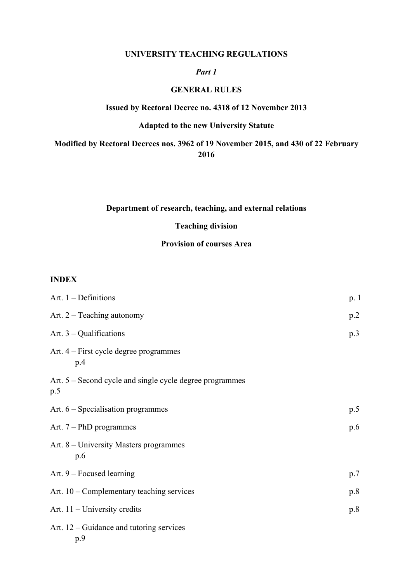#### **UNIVERSITY TEACHING REGULATIONS**

#### *Part 1*

#### **GENERAL RULES**

#### **Issued by Rectoral Decree no. 4318 of 12 November 2013**

# **Adapted to the new University Statute**

## **Modified by Rectoral Decrees nos. 3962 of 19 November 2015, and 430 of 22 February 2016**

#### **Department of research, teaching, and external relations**

# **Teaching division**

#### **Provision of courses Area**

#### **INDEX**

| Art. $1$ – Definitions                                          | p. 1 |
|-----------------------------------------------------------------|------|
| Art. $2 - Teaching$ autonomy                                    | p.2  |
| Art. $3$ – Qualifications                                       | p.3  |
| Art. 4 – First cycle degree programmes<br>p.4                   |      |
| Art. 5 – Second cycle and single cycle degree programmes<br>p.5 |      |
| Art. $6$ – Specialisation programmes                            | p.5  |
| Art. $7 - PhD$ programmes                                       | p.6  |
| Art. 8 – University Masters programmes<br>p.6                   |      |
| Art. $9$ – Focused learning                                     | p.7  |
| Art. $10$ – Complementary teaching services                     | p.8  |
| Art. $11$ – University credits                                  | p.8  |
| Art. $12$ – Guidance and tutoring services                      |      |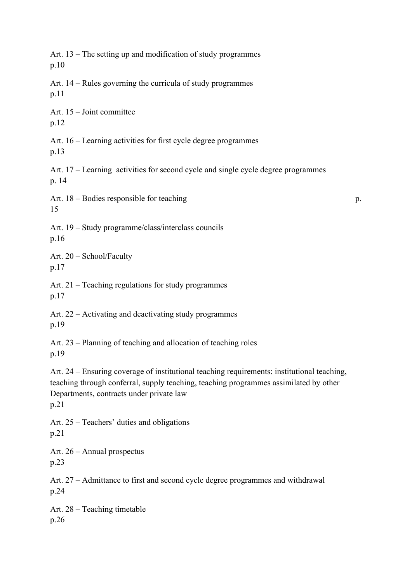Art. 13 – The setting up and modification of study programmes p.10 Art. 14 – Rules governing the curricula of study programmes p.11 Art. 15 – Joint committee p.12 Art. 16 – Learning activities for first cycle degree programmes p.13 Art. 17 – Learning activities for second cycle and single cycle degree programmes p. 14 Art. 18 – Bodies responsible for teaching p. 15 Art. 19 – Study programme/class/interclass councils p.16 Art. 20 – School/Faculty p.17 Art. 21 – Teaching regulations for study programmes p.17 Art. 22 – Activating and deactivating study programmes p.19 Art. 23 – Planning of teaching and allocation of teaching roles p.19 Art. 24 – Ensuring coverage of institutional teaching requirements: institutional teaching, teaching through conferral, supply teaching, teaching programmes assimilated by other Departments, contracts under private law p.21 Art. 25 – Teachers' duties and obligations p.21 Art. 26 – Annual prospectus p.23 Art. 27 – Admittance to first and second cycle degree programmes and withdrawal p.24 Art. 28 – Teaching timetable p.26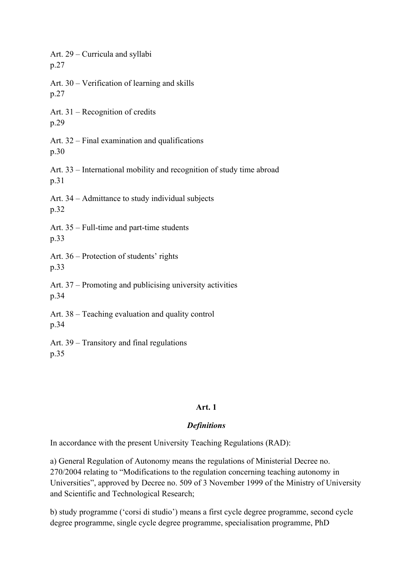Art. 29 – Curricula and syllabi p.27 Art. 30 – Verification of learning and skills p.27 Art. 31 – Recognition of credits p.29 Art. 32 – Final examination and qualifications p.30 Art. 33 – International mobility and recognition of study time abroad p.31 Art. 34 – Admittance to study individual subjects p.32 Art. 35 – Full-time and part-time students p.33 Art. 36 – Protection of students' rights p.33 Art. 37 – Promoting and publicising university activities p.34 Art. 38 – Teaching evaluation and quality control p.34 Art. 39 – Transitory and final regulations p.35

#### **Art. 1**

# *Definitions*

In accordance with the present University Teaching Regulations (RAD):

a) General Regulation of Autonomy means the regulations of Ministerial Decree no. 270/2004 relating to "Modifications to the regulation concerning teaching autonomy in Universities", approved by Decree no. 509 of 3 November 1999 of the Ministry of University and Scientific and Technological Research;

b) study programme ('corsi di studio') means a first cycle degree programme, second cycle degree programme, single cycle degree programme, specialisation programme, PhD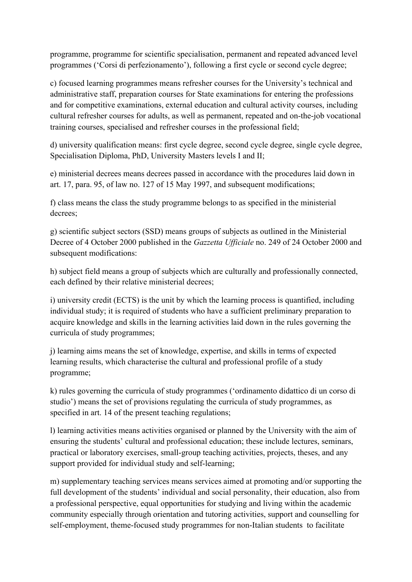programme, programme for scientific specialisation, permanent and repeated advanced level programmes ('Corsi di perfezionamento'), following a first cycle or second cycle degree;

c) focused learning programmes means refresher courses for the University's technical and administrative staff, preparation courses for State examinations for entering the professions and for competitive examinations, external education and cultural activity courses, including cultural refresher courses for adults, as well as permanent, repeated and on-the-job vocational training courses, specialised and refresher courses in the professional field;

d) university qualification means: first cycle degree, second cycle degree, single cycle degree, Specialisation Diploma, PhD, University Masters levels I and II;

e) ministerial decrees means decrees passed in accordance with the procedures laid down in art. 17, para. 95, of law no. 127 of 15 May 1997, and subsequent modifications;

f) class means the class the study programme belongs to as specified in the ministerial decrees;

g) scientific subject sectors (SSD) means groups of subjects as outlined in the Ministerial Decree of 4 October 2000 published in the *Gazzetta Ufficiale* no. 249 of 24 October 2000 and subsequent modifications:

h) subject field means a group of subjects which are culturally and professionally connected, each defined by their relative ministerial decrees;

i) university credit (ECTS) is the unit by which the learning process is quantified, including individual study; it is required of students who have a sufficient preliminary preparation to acquire knowledge and skills in the learning activities laid down in the rules governing the curricula of study programmes;

j) learning aims means the set of knowledge, expertise, and skills in terms of expected learning results, which characterise the cultural and professional profile of a study programme;

k) rules governing the curricula of study programmes ('ordinamento didattico di un corso di studio') means the set of provisions regulating the curricula of study programmes, as specified in art. 14 of the present teaching regulations;

l) learning activities means activities organised or planned by the University with the aim of ensuring the students' cultural and professional education; these include lectures, seminars, practical or laboratory exercises, small-group teaching activities, projects, theses, and any support provided for individual study and self-learning;

m) supplementary teaching services means services aimed at promoting and/or supporting the full development of the students' individual and social personality, their education, also from a professional perspective, equal opportunities for studying and living within the academic community especially through orientation and tutoring activities, support and counselling for self-employment, theme-focused study programmes for non-Italian students to facilitate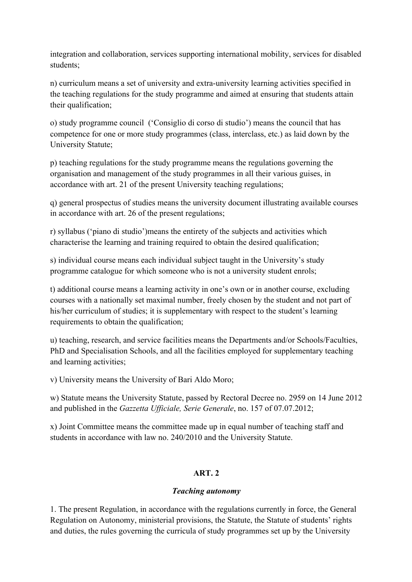integration and collaboration, services supporting international mobility, services for disabled students;

n) curriculum means a set of university and extra-university learning activities specified in the teaching regulations for the study programme and aimed at ensuring that students attain their qualification;

o) study programme council ('Consiglio di corso di studio') means the council that has competence for one or more study programmes (class, interclass, etc.) as laid down by the University Statute;

p) teaching regulations for the study programme means the regulations governing the organisation and management of the study programmes in all their various guises, in accordance with art. 21 of the present University teaching regulations;

q) general prospectus of studies means the university document illustrating available courses in accordance with art. 26 of the present regulations;

r) syllabus ('piano di studio')means the entirety of the subjects and activities which characterise the learning and training required to obtain the desired qualification;

s) individual course means each individual subject taught in the University's study programme catalogue for which someone who is not a university student enrols;

t) additional course means a learning activity in one's own or in another course, excluding courses with a nationally set maximal number, freely chosen by the student and not part of his/her curriculum of studies; it is supplementary with respect to the student's learning requirements to obtain the qualification;

u) teaching, research, and service facilities means the Departments and/or Schools/Faculties, PhD and Specialisation Schools, and all the facilities employed for supplementary teaching and learning activities;

v) University means the University of Bari Aldo Moro;

w) Statute means the University Statute, passed by Rectoral Decree no. 2959 on 14 June 2012 and published in the *Gazzetta Ufficiale, Serie Generale*, no. 157 of 07.07.2012;

x) Joint Committee means the committee made up in equal number of teaching staff and students in accordance with law no. 240/2010 and the University Statute.

# **ART. 2**

# *Teaching autonomy*

1. The present Regulation, in accordance with the regulations currently in force, the General Regulation on Autonomy, ministerial provisions, the Statute, the Statute of students' rights and duties, the rules governing the curricula of study programmes set up by the University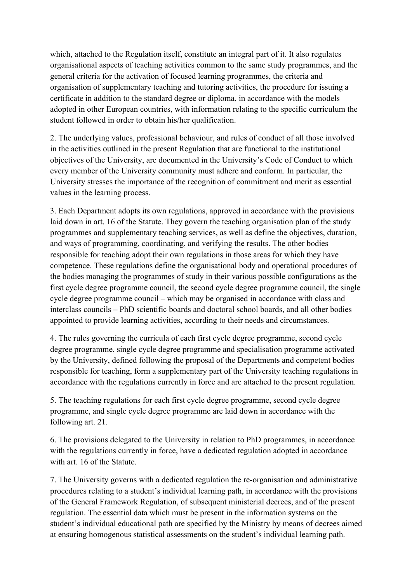which, attached to the Regulation itself, constitute an integral part of it. It also regulates organisational aspects of teaching activities common to the same study programmes, and the general criteria for the activation of focused learning programmes, the criteria and organisation of supplementary teaching and tutoring activities, the procedure for issuing a certificate in addition to the standard degree or diploma, in accordance with the models adopted in other European countries, with information relating to the specific curriculum the student followed in order to obtain his/her qualification.

2. The underlying values, professional behaviour, and rules of conduct of all those involved in the activities outlined in the present Regulation that are functional to the institutional objectives of the University, are documented in the University's Code of Conduct to which every member of the University community must adhere and conform. In particular, the University stresses the importance of the recognition of commitment and merit as essential values in the learning process.

3. Each Department adopts its own regulations, approved in accordance with the provisions laid down in art. 16 of the Statute. They govern the teaching organisation plan of the study programmes and supplementary teaching services, as well as define the objectives, duration, and ways of programming, coordinating, and verifying the results. The other bodies responsible for teaching adopt their own regulations in those areas for which they have competence. These regulations define the organisational body and operational procedures of the bodies managing the programmes of study in their various possible configurations as the first cycle degree programme council, the second cycle degree programme council, the single cycle degree programme council – which may be organised in accordance with class and interclass councils – PhD scientific boards and doctoral school boards, and all other bodies appointed to provide learning activities, according to their needs and circumstances.

4. The rules governing the curricula of each first cycle degree programme, second cycle degree programme, single cycle degree programme and specialisation programme activated by the University, defined following the proposal of the Departments and competent bodies responsible for teaching, form a supplementary part of the University teaching regulations in accordance with the regulations currently in force and are attached to the present regulation.

5. The teaching regulations for each first cycle degree programme, second cycle degree programme, and single cycle degree programme are laid down in accordance with the following art. 21.

6. The provisions delegated to the University in relation to PhD programmes, in accordance with the regulations currently in force, have a dedicated regulation adopted in accordance with art. 16 of the Statute.

7. The University governs with a dedicated regulation the re-organisation and administrative procedures relating to a student's individual learning path, in accordance with the provisions of the General Framework Regulation, of subsequent ministerial decrees, and of the present regulation. The essential data which must be present in the information systems on the student's individual educational path are specified by the Ministry by means of decrees aimed at ensuring homogenous statistical assessments on the student's individual learning path.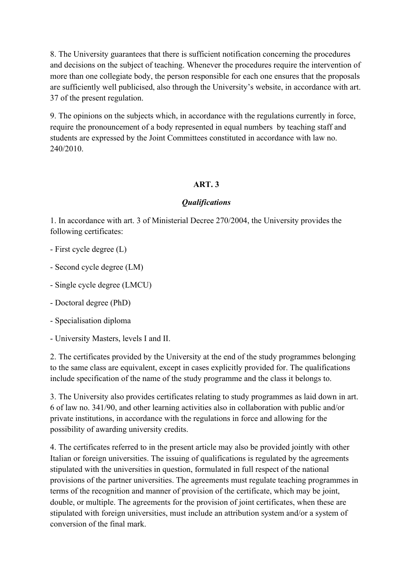8. The University guarantees that there is sufficient notification concerning the procedures and decisions on the subject of teaching. Whenever the procedures require the intervention of more than one collegiate body, the person responsible for each one ensures that the proposals are sufficiently well publicised, also through the University's website, in accordance with art. 37 of the present regulation.

9. The opinions on the subjects which, in accordance with the regulations currently in force, require the pronouncement of a body represented in equal numbers by teaching staff and students are expressed by the Joint Committees constituted in accordance with law no. 240/2010.

# **ART. 3**

## *Qualifications*

1. In accordance with art. 3 of Ministerial Decree 270/2004, the University provides the following certificates:

- First cycle degree (L)
- Second cycle degree (LM)
- Single cycle degree (LMCU)
- Doctoral degree (PhD)
- Specialisation diploma
- University Masters, levels I and II.

2. The certificates provided by the University at the end of the study programmes belonging to the same class are equivalent, except in cases explicitly provided for. The qualifications include specification of the name of the study programme and the class it belongs to.

3. The University also provides certificates relating to study programmes as laid down in art. 6 of law no. 341/90, and other learning activities also in collaboration with public and/or private institutions, in accordance with the regulations in force and allowing for the possibility of awarding university credits.

4. The certificates referred to in the present article may also be provided jointly with other Italian or foreign universities. The issuing of qualifications is regulated by the agreements stipulated with the universities in question, formulated in full respect of the national provisions of the partner universities. The agreements must regulate teaching programmes in terms of the recognition and manner of provision of the certificate, which may be joint, double, or multiple. The agreements for the provision of joint certificates, when these are stipulated with foreign universities, must include an attribution system and/or a system of conversion of the final mark.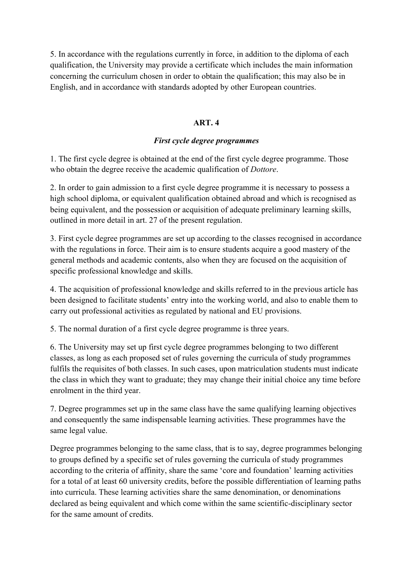5. In accordance with the regulations currently in force, in addition to the diploma of each qualification, the University may provide a certificate which includes the main information concerning the curriculum chosen in order to obtain the qualification; this may also be in English, and in accordance with standards adopted by other European countries.

#### **ART. 4**

## *First cycle degree programmes*

1. The first cycle degree is obtained at the end of the first cycle degree programme. Those who obtain the degree receive the academic qualification of *Dottore*.

2. In order to gain admission to a first cycle degree programme it is necessary to possess a high school diploma, or equivalent qualification obtained abroad and which is recognised as being equivalent, and the possession or acquisition of adequate preliminary learning skills, outlined in more detail in art. 27 of the present regulation.

3. First cycle degree programmes are set up according to the classes recognised in accordance with the regulations in force. Their aim is to ensure students acquire a good mastery of the general methods and academic contents, also when they are focused on the acquisition of specific professional knowledge and skills.

4. The acquisition of professional knowledge and skills referred to in the previous article has been designed to facilitate students' entry into the working world, and also to enable them to carry out professional activities as regulated by national and EU provisions.

5. The normal duration of a first cycle degree programme is three years.

6. The University may set up first cycle degree programmes belonging to two different classes, as long as each proposed set of rules governing the curricula of study programmes fulfils the requisites of both classes. In such cases, upon matriculation students must indicate the class in which they want to graduate; they may change their initial choice any time before enrolment in the third year.

7. Degree programmes set up in the same class have the same qualifying learning objectives and consequently the same indispensable learning activities. These programmes have the same legal value.

Degree programmes belonging to the same class, that is to say, degree programmes belonging to groups defined by a specific set of rules governing the curricula of study programmes according to the criteria of affinity, share the same 'core and foundation' learning activities for a total of at least 60 university credits, before the possible differentiation of learning paths into curricula. These learning activities share the same denomination, or denominations declared as being equivalent and which come within the same scientific-disciplinary sector for the same amount of credits.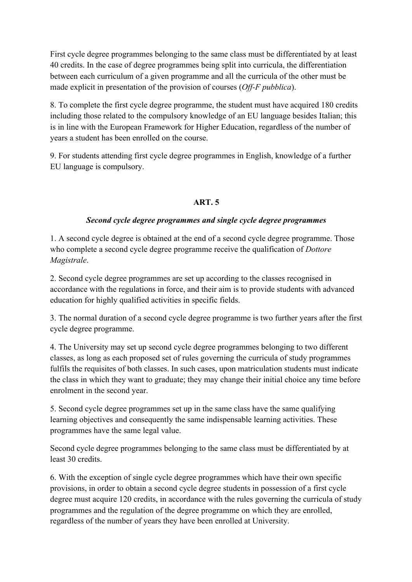First cycle degree programmes belonging to the same class must be differentiated by at least 40 credits. In the case of degree programmes being split into curricula, the differentiation between each curriculum of a given programme and all the curricula of the other must be made explicit in presentation of the provision of courses (*Off-F pubblica*).

8. To complete the first cycle degree programme, the student must have acquired 180 credits including those related to the compulsory knowledge of an EU language besides Italian; this is in line with the European Framework for Higher Education, regardless of the number of years a student has been enrolled on the course.

9. For students attending first cycle degree programmes in English, knowledge of a further EU language is compulsory.

# **ART. 5**

## *Second cycle degree programmes and single cycle degree programmes*

1. A second cycle degree is obtained at the end of a second cycle degree programme. Those who complete a second cycle degree programme receive the qualification of *Dottore Magistrale*.

2. Second cycle degree programmes are set up according to the classes recognised in accordance with the regulations in force, and their aim is to provide students with advanced education for highly qualified activities in specific fields.

3. The normal duration of a second cycle degree programme is two further years after the first cycle degree programme.

4. The University may set up second cycle degree programmes belonging to two different classes, as long as each proposed set of rules governing the curricula of study programmes fulfils the requisites of both classes. In such cases, upon matriculation students must indicate the class in which they want to graduate; they may change their initial choice any time before enrolment in the second year.

5. Second cycle degree programmes set up in the same class have the same qualifying learning objectives and consequently the same indispensable learning activities. These programmes have the same legal value.

Second cycle degree programmes belonging to the same class must be differentiated by at least 30 credits.

6. With the exception of single cycle degree programmes which have their own specific provisions, in order to obtain a second cycle degree students in possession of a first cycle degree must acquire 120 credits, in accordance with the rules governing the curricula of study programmes and the regulation of the degree programme on which they are enrolled, regardless of the number of years they have been enrolled at University.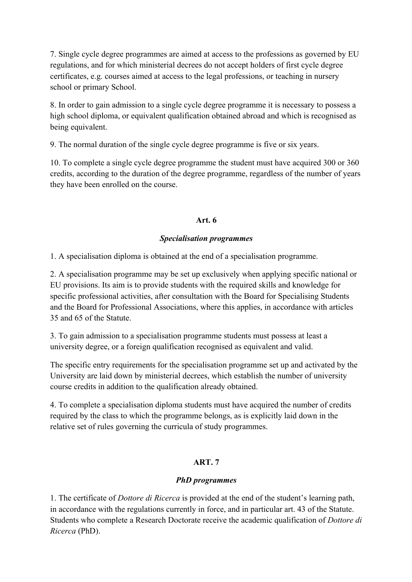7. Single cycle degree programmes are aimed at access to the professions as governed by EU regulations, and for which ministerial decrees do not accept holders of first cycle degree certificates, e.g. courses aimed at access to the legal professions, or teaching in nursery school or primary School.

8. In order to gain admission to a single cycle degree programme it is necessary to possess a high school diploma, or equivalent qualification obtained abroad and which is recognised as being equivalent.

9. The normal duration of the single cycle degree programme is five or six years.

10. To complete a single cycle degree programme the student must have acquired 300 or 360 credits, according to the duration of the degree programme, regardless of the number of years they have been enrolled on the course.

# **Art. 6**

# *Specialisation programmes*

1. A specialisation diploma is obtained at the end of a specialisation programme.

2. A specialisation programme may be set up exclusively when applying specific national or EU provisions. Its aim is to provide students with the required skills and knowledge for specific professional activities, after consultation with the Board for Specialising Students and the Board for Professional Associations, where this applies, in accordance with articles 35 and 65 of the Statute.

3. To gain admission to a specialisation programme students must possess at least a university degree, or a foreign qualification recognised as equivalent and valid.

The specific entry requirements for the specialisation programme set up and activated by the University are laid down by ministerial decrees, which establish the number of university course credits in addition to the qualification already obtained.

4. To complete a specialisation diploma students must have acquired the number of credits required by the class to which the programme belongs, as is explicitly laid down in the relative set of rules governing the curricula of study programmes.

# **ART. 7**

# *PhD programmes*

1. The certificate of *Dottore di Ricerca* is provided at the end of the student's learning path, in accordance with the regulations currently in force, and in particular art. 43 of the Statute. Students who complete a Research Doctorate receive the academic qualification of *Dottore di Ricerca* (PhD).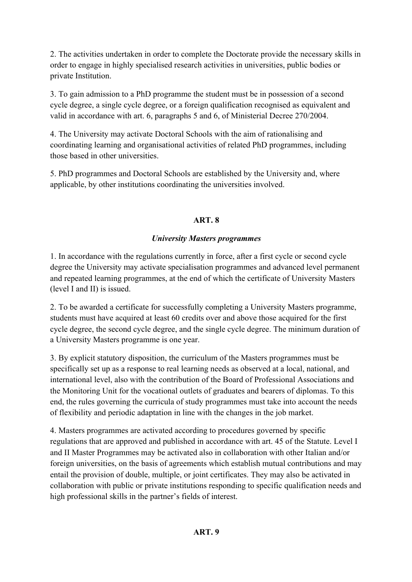2. The activities undertaken in order to complete the Doctorate provide the necessary skills in order to engage in highly specialised research activities in universities, public bodies or private Institution.

3. To gain admission to a PhD programme the student must be in possession of a second cycle degree, a single cycle degree, or a foreign qualification recognised as equivalent and valid in accordance with art. 6, paragraphs 5 and 6, of Ministerial Decree 270/2004.

4. The University may activate Doctoral Schools with the aim of rationalising and coordinating learning and organisational activities of related PhD programmes, including those based in other universities.

5. PhD programmes and Doctoral Schools are established by the University and, where applicable, by other institutions coordinating the universities involved.

# **ART. 8**

# *University Masters programmes*

1. In accordance with the regulations currently in force, after a first cycle or second cycle degree the University may activate specialisation programmes and advanced level permanent and repeated learning programmes, at the end of which the certificate of University Masters (level I and II) is issued.

2. To be awarded a certificate for successfully completing a University Masters programme, students must have acquired at least 60 credits over and above those acquired for the first cycle degree, the second cycle degree, and the single cycle degree. The minimum duration of a University Masters programme is one year.

3. By explicit statutory disposition, the curriculum of the Masters programmes must be specifically set up as a response to real learning needs as observed at a local, national, and international level, also with the contribution of the Board of Professional Associations and the Monitoring Unit for the vocational outlets of graduates and bearers of diplomas. To this end, the rules governing the curricula of study programmes must take into account the needs of flexibility and periodic adaptation in line with the changes in the job market.

4. Masters programmes are activated according to procedures governed by specific regulations that are approved and published in accordance with art. 45 of the Statute. Level I and II Master Programmes may be activated also in collaboration with other Italian and/or foreign universities, on the basis of agreements which establish mutual contributions and may entail the provision of double, multiple, or joint certificates. They may also be activated in collaboration with public or private institutions responding to specific qualification needs and high professional skills in the partner's fields of interest.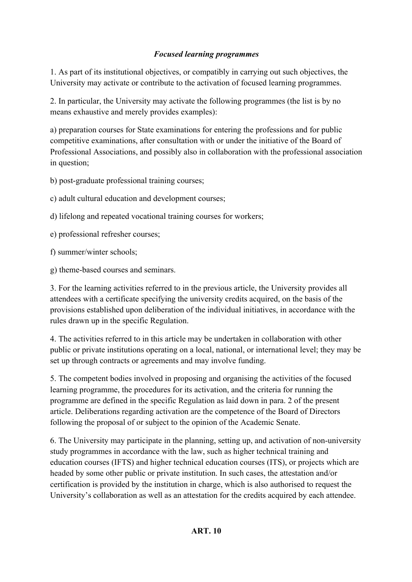# *Focused learning programmes*

1. As part of its institutional objectives, or compatibly in carrying out such objectives, the University may activate or contribute to the activation of focused learning programmes.

2. In particular, the University may activate the following programmes (the list is by no means exhaustive and merely provides examples):

a) preparation courses for State examinations for entering the professions and for public competitive examinations, after consultation with or under the initiative of the Board of Professional Associations, and possibly also in collaboration with the professional association in question;

b) post-graduate professional training courses;

c) adult cultural education and development courses;

d) lifelong and repeated vocational training courses for workers;

e) professional refresher courses;

f) summer/winter schools;

g) theme-based courses and seminars.

3. For the learning activities referred to in the previous article, the University provides all attendees with a certificate specifying the university credits acquired, on the basis of the provisions established upon deliberation of the individual initiatives, in accordance with the rules drawn up in the specific Regulation.

4. The activities referred to in this article may be undertaken in collaboration with other public or private institutions operating on a local, national, or international level; they may be set up through contracts or agreements and may involve funding.

5. The competent bodies involved in proposing and organising the activities of the focused learning programme, the procedures for its activation, and the criteria for running the programme are defined in the specific Regulation as laid down in para. 2 of the present article. Deliberations regarding activation are the competence of the Board of Directors following the proposal of or subject to the opinion of the Academic Senate.

6. The University may participate in the planning, setting up, and activation of non-university study programmes in accordance with the law, such as higher technical training and education courses (IFTS) and higher technical education courses (ITS), or projects which are headed by some other public or private institution. In such cases, the attestation and/or certification is provided by the institution in charge, which is also authorised to request the University's collaboration as well as an attestation for the credits acquired by each attendee.

# **ART. 10**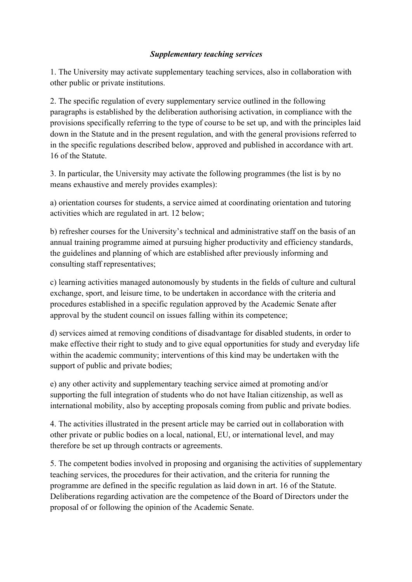#### *Supplementary teaching services*

1. The University may activate supplementary teaching services, also in collaboration with other public or private institutions.

2. The specific regulation of every supplementary service outlined in the following paragraphs is established by the deliberation authorising activation, in compliance with the provisions specifically referring to the type of course to be set up, and with the principles laid down in the Statute and in the present regulation, and with the general provisions referred to in the specific regulations described below, approved and published in accordance with art. 16 of the Statute.

3. In particular, the University may activate the following programmes (the list is by no means exhaustive and merely provides examples):

a) orientation courses for students, a service aimed at coordinating orientation and tutoring activities which are regulated in art. 12 below;

b) refresher courses for the University's technical and administrative staff on the basis of an annual training programme aimed at pursuing higher productivity and efficiency standards, the guidelines and planning of which are established after previously informing and consulting staff representatives;

c) learning activities managed autonomously by students in the fields of culture and cultural exchange, sport, and leisure time, to be undertaken in accordance with the criteria and procedures established in a specific regulation approved by the Academic Senate after approval by the student council on issues falling within its competence;

d) services aimed at removing conditions of disadvantage for disabled students, in order to make effective their right to study and to give equal opportunities for study and everyday life within the academic community; interventions of this kind may be undertaken with the support of public and private bodies;

e) any other activity and supplementary teaching service aimed at promoting and/or supporting the full integration of students who do not have Italian citizenship, as well as international mobility, also by accepting proposals coming from public and private bodies.

4. The activities illustrated in the present article may be carried out in collaboration with other private or public bodies on a local, national, EU, or international level, and may therefore be set up through contracts or agreements.

5. The competent bodies involved in proposing and organising the activities of supplementary teaching services, the procedures for their activation, and the criteria for running the programme are defined in the specific regulation as laid down in art. 16 of the Statute. Deliberations regarding activation are the competence of the Board of Directors under the proposal of or following the opinion of the Academic Senate.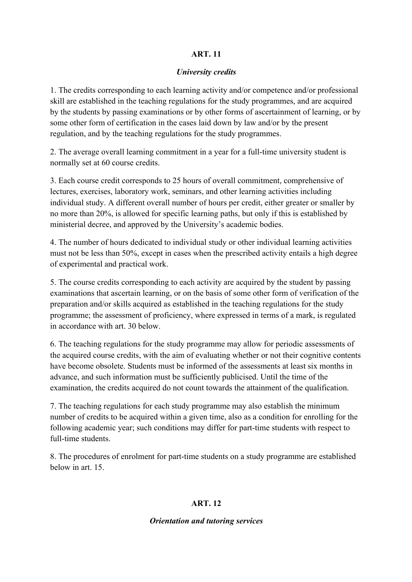#### **ART. 11**

#### *University credits*

1. The credits corresponding to each learning activity and/or competence and/or professional skill are established in the teaching regulations for the study programmes, and are acquired by the students by passing examinations or by other forms of ascertainment of learning, or by some other form of certification in the cases laid down by law and/or by the present regulation, and by the teaching regulations for the study programmes.

2. The average overall learning commitment in a year for a full-time university student is normally set at 60 course credits.

3. Each course credit corresponds to 25 hours of overall commitment, comprehensive of lectures, exercises, laboratory work, seminars, and other learning activities including individual study. A different overall number of hours per credit, either greater or smaller by no more than 20%, is allowed for specific learning paths, but only if this is established by ministerial decree, and approved by the University's academic bodies.

4. The number of hours dedicated to individual study or other individual learning activities must not be less than 50%, except in cases when the prescribed activity entails a high degree of experimental and practical work.

5. The course credits corresponding to each activity are acquired by the student by passing examinations that ascertain learning, or on the basis of some other form of verification of the preparation and/or skills acquired as established in the teaching regulations for the study programme; the assessment of proficiency, where expressed in terms of a mark, is regulated in accordance with art. 30 below.

6. The teaching regulations for the study programme may allow for periodic assessments of the acquired course credits, with the aim of evaluating whether or not their cognitive contents have become obsolete. Students must be informed of the assessments at least six months in advance, and such information must be sufficiently publicised. Until the time of the examination, the credits acquired do not count towards the attainment of the qualification.

7. The teaching regulations for each study programme may also establish the minimum number of credits to be acquired within a given time, also as a condition for enrolling for the following academic year; such conditions may differ for part-time students with respect to full-time students.

8. The procedures of enrolment for part-time students on a study programme are established below in art. 15.

# **ART. 12**

#### *Orientation and tutoring services*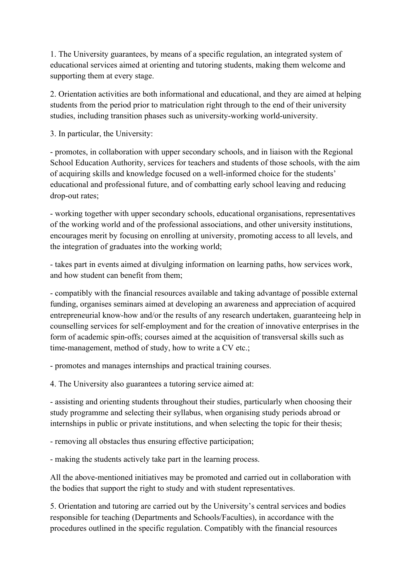1. The University guarantees, by means of a specific regulation, an integrated system of educational services aimed at orienting and tutoring students, making them welcome and supporting them at every stage.

2. Orientation activities are both informational and educational, and they are aimed at helping students from the period prior to matriculation right through to the end of their university studies, including transition phases such as university-working world-university.

3. In particular, the University:

- promotes, in collaboration with upper secondary schools, and in liaison with the Regional School Education Authority, services for teachers and students of those schools, with the aim of acquiring skills and knowledge focused on a well-informed choice for the students' educational and professional future, and of combatting early school leaving and reducing drop-out rates;

- working together with upper secondary schools, educational organisations, representatives of the working world and of the professional associations, and other university institutions, encourages merit by focusing on enrolling at university, promoting access to all levels, and the integration of graduates into the working world;

- takes part in events aimed at divulging information on learning paths, how services work, and how student can benefit from them;

- compatibly with the financial resources available and taking advantage of possible external funding, organises seminars aimed at developing an awareness and appreciation of acquired entrepreneurial know-how and/or the results of any research undertaken, guaranteeing help in counselling services for self-employment and for the creation of innovative enterprises in the form of academic spin-offs; courses aimed at the acquisition of transversal skills such as time-management, method of study, how to write a CV etc.;

- promotes and manages internships and practical training courses.

4. The University also guarantees a tutoring service aimed at:

- assisting and orienting students throughout their studies, particularly when choosing their study programme and selecting their syllabus, when organising study periods abroad or internships in public or private institutions, and when selecting the topic for their thesis;

- removing all obstacles thus ensuring effective participation;

- making the students actively take part in the learning process.

All the above-mentioned initiatives may be promoted and carried out in collaboration with the bodies that support the right to study and with student representatives.

5. Orientation and tutoring are carried out by the University's central services and bodies responsible for teaching (Departments and Schools/Faculties), in accordance with the procedures outlined in the specific regulation. Compatibly with the financial resources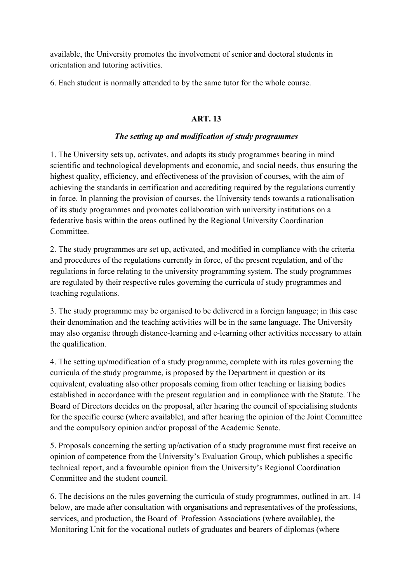available, the University promotes the involvement of senior and doctoral students in orientation and tutoring activities.

6. Each student is normally attended to by the same tutor for the whole course.

# **ART. 13**

## *The setting up and modification of study programmes*

1. The University sets up, activates, and adapts its study programmes bearing in mind scientific and technological developments and economic, and social needs, thus ensuring the highest quality, efficiency, and effectiveness of the provision of courses, with the aim of achieving the standards in certification and accrediting required by the regulations currently in force. In planning the provision of courses, the University tends towards a rationalisation of its study programmes and promotes collaboration with university institutions on a federative basis within the areas outlined by the Regional University Coordination **Committee** 

2. The study programmes are set up, activated, and modified in compliance with the criteria and procedures of the regulations currently in force, of the present regulation, and of the regulations in force relating to the university programming system. The study programmes are regulated by their respective rules governing the curricula of study programmes and teaching regulations.

3. The study programme may be organised to be delivered in a foreign language; in this case their denomination and the teaching activities will be in the same language. The University may also organise through distance-learning and e-learning other activities necessary to attain the qualification.

4. The setting up/modification of a study programme, complete with its rules governing the curricula of the study programme, is proposed by the Department in question or its equivalent, evaluating also other proposals coming from other teaching or liaising bodies established in accordance with the present regulation and in compliance with the Statute. The Board of Directors decides on the proposal, after hearing the council of specialising students for the specific course (where available), and after hearing the opinion of the Joint Committee and the compulsory opinion and/or proposal of the Academic Senate.

5. Proposals concerning the setting up/activation of a study programme must first receive an opinion of competence from the University's Evaluation Group, which publishes a specific technical report, and a favourable opinion from the University's Regional Coordination Committee and the student council.

6. The decisions on the rules governing the curricula of study programmes, outlined in art. 14 below, are made after consultation with organisations and representatives of the professions, services, and production, the Board of Profession Associations (where available), the Monitoring Unit for the vocational outlets of graduates and bearers of diplomas (where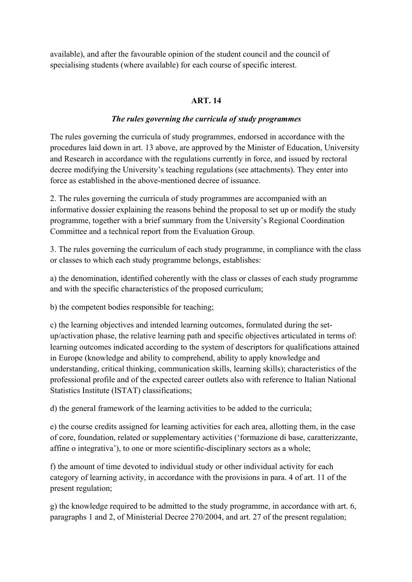available), and after the favourable opinion of the student council and the council of specialising students (where available) for each course of specific interest.

# **ART. 14**

## *The rules governing the curricula of study programmes*

The rules governing the curricula of study programmes, endorsed in accordance with the procedures laid down in art. 13 above, are approved by the Minister of Education, University and Research in accordance with the regulations currently in force, and issued by rectoral decree modifying the University's teaching regulations (see attachments). They enter into force as established in the above-mentioned decree of issuance.

2. The rules governing the curricula of study programmes are accompanied with an informative dossier explaining the reasons behind the proposal to set up or modify the study programme, together with a brief summary from the University's Regional Coordination Committee and a technical report from the Evaluation Group.

3. The rules governing the curriculum of each study programme, in compliance with the class or classes to which each study programme belongs, establishes:

a) the denomination, identified coherently with the class or classes of each study programme and with the specific characteristics of the proposed curriculum;

b) the competent bodies responsible for teaching;

c) the learning objectives and intended learning outcomes, formulated during the setup/activation phase, the relative learning path and specific objectives articulated in terms of: learning outcomes indicated according to the system of descriptors for qualifications attained in Europe (knowledge and ability to comprehend, ability to apply knowledge and understanding, critical thinking, communication skills, learning skills); characteristics of the professional profile and of the expected career outlets also with reference to Italian National Statistics Institute (ISTAT) classifications;

d) the general framework of the learning activities to be added to the curricula;

e) the course credits assigned for learning activities for each area, allotting them, in the case of core, foundation, related or supplementary activities ('formazione di base, caratterizzante, affine o integrativa'), to one or more scientific-disciplinary sectors as a whole;

f) the amount of time devoted to individual study or other individual activity for each category of learning activity, in accordance with the provisions in para. 4 of art. 11 of the present regulation;

g) the knowledge required to be admitted to the study programme, in accordance with art. 6, paragraphs 1 and 2, of Ministerial Decree 270/2004, and art. 27 of the present regulation;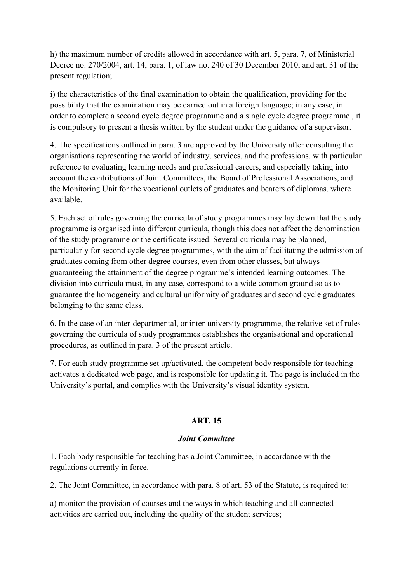h) the maximum number of credits allowed in accordance with art. 5, para. 7, of Ministerial Decree no. 270/2004, art. 14, para. 1, of law no. 240 of 30 December 2010, and art. 31 of the present regulation;

i) the characteristics of the final examination to obtain the qualification, providing for the possibility that the examination may be carried out in a foreign language; in any case, in order to complete a second cycle degree programme and a single cycle degree programme , it is compulsory to present a thesis written by the student under the guidance of a supervisor.

4. The specifications outlined in para. 3 are approved by the University after consulting the organisations representing the world of industry, services, and the professions, with particular reference to evaluating learning needs and professional careers, and especially taking into account the contributions of Joint Committees, the Board of Professional Associations, and the Monitoring Unit for the vocational outlets of graduates and bearers of diplomas, where available.

5. Each set of rules governing the curricula of study programmes may lay down that the study programme is organised into different curricula, though this does not affect the denomination of the study programme or the certificate issued. Several curricula may be planned, particularly for second cycle degree programmes, with the aim of facilitating the admission of graduates coming from other degree courses, even from other classes, but always guaranteeing the attainment of the degree programme's intended learning outcomes. The division into curricula must, in any case, correspond to a wide common ground so as to guarantee the homogeneity and cultural uniformity of graduates and second cycle graduates belonging to the same class.

6. In the case of an inter-departmental, or inter-university programme, the relative set of rules governing the curricula of study programmes establishes the organisational and operational procedures, as outlined in para. 3 of the present article.

7. For each study programme set up/activated, the competent body responsible for teaching activates a dedicated web page, and is responsible for updating it. The page is included in the University's portal, and complies with the University's visual identity system.

#### **ART. 15**

#### *Joint Committee*

1. Each body responsible for teaching has a Joint Committee, in accordance with the regulations currently in force.

2. The Joint Committee, in accordance with para. 8 of art. 53 of the Statute, is required to:

a) monitor the provision of courses and the ways in which teaching and all connected activities are carried out, including the quality of the student services;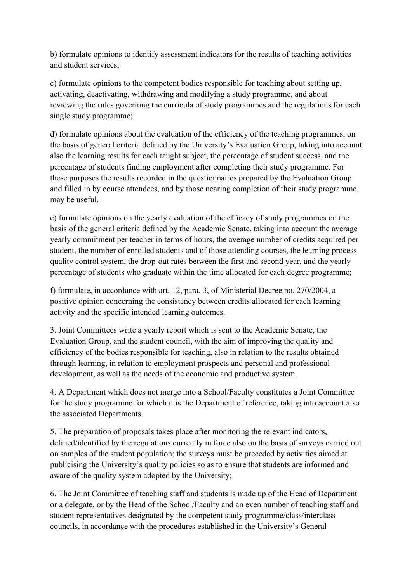b) formulate opinions to identify assessment indicators for the results of teaching activities and student services;

c) formulate opinions to the competent bodies responsible for teaching about setting up, activating, deactivating, withdrawing and modifying a study programme, and about reviewing the rules governing the curricula of study programmes and the regulations for each single study programme;

d) formulate opinions about the evaluation of the efficiency of the teaching programmes, on the basis of general criteria defined by the University's Evaluation Group, taking into account also the learning results for each taught subject, the percentage of student success, and the percentage of students finding employment after completing their study programme. For these purposes the results recorded in the questionnaires prepared by the Evaluation Group and filled in by course attendees, and by those nearing completion of their study programme, may be useful.

e) formulate opinions on the yearly evaluation of the efficacy of study programmes on the basis of the general criteria defined by the Academic Senate, taking into account the average yearly commitment per teacher in terms of hours, the average number of credits acquired per student, the number of enrolled students and of those attending courses, the learning process quality control system, the drop-out rates between the first and second year, and the yearly percentage of students who graduate within the time allocated for each degree programme;

f) formulate, in accordance with art. 12, para. 3, of Ministerial Decree no. 270/2004, a positive opinion concerning the consistency between credits allocated for each learning activity and the specific intended learning outcomes.

3. Joint Committees write a yearly report which is sent to the Academic Senate, the Evaluation Group, and the student council, with the aim of improving the quality and efficiency of the bodies responsible for teaching, also in relation to the results obtained through learning, in relation to employment prospects and personal and professional development, as well as the needs of the economic and productive system.

4. A Department which does not merge into a School/Faculty constitutes a Joint Committee for the study programme for which it is the Department of reference, taking into account also the associated Departments.

5. The preparation of proposals takes place after monitoring the relevant indicators, defined/identified by the regulations currently in force also on the basis of surveys carried out on samples of the student population; the surveys must be preceded by activities aimed at publicising the University's quality policies so as to ensure that students are informed and aware of the quality system adopted by the University;

6. The Joint Committee of teaching staff and students is made up of the Head of Department or a delegate, or by the Head of the School/Faculty and an even number of teaching staff and student representatives designated by the competent study programme/class/interclass councils, in accordance with the procedures established in the University's General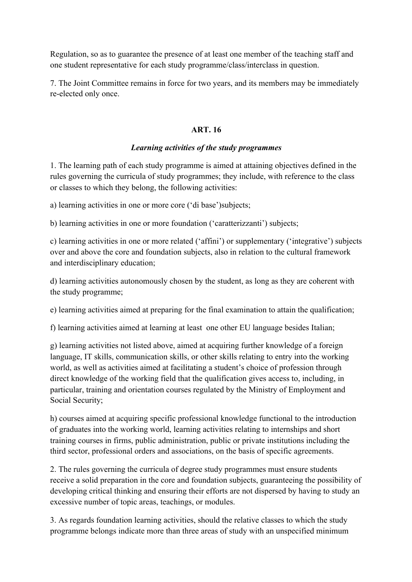Regulation, so as to guarantee the presence of at least one member of the teaching staff and one student representative for each study programme/class/interclass in question.

7. The Joint Committee remains in force for two years, and its members may be immediately re-elected only once.

#### **ART. 16**

#### *Learning activities of the study programmes*

1. The learning path of each study programme is aimed at attaining objectives defined in the rules governing the curricula of study programmes; they include, with reference to the class or classes to which they belong, the following activities:

a) learning activities in one or more core ('di base')subjects;

b) learning activities in one or more foundation ('caratterizzanti') subjects;

c) learning activities in one or more related ('affini') or supplementary ('integrative') subjects over and above the core and foundation subjects, also in relation to the cultural framework and interdisciplinary education;

d) learning activities autonomously chosen by the student, as long as they are coherent with the study programme;

e) learning activities aimed at preparing for the final examination to attain the qualification;

f) learning activities aimed at learning at least one other EU language besides Italian;

g) learning activities not listed above, aimed at acquiring further knowledge of a foreign language, IT skills, communication skills, or other skills relating to entry into the working world, as well as activities aimed at facilitating a student's choice of profession through direct knowledge of the working field that the qualification gives access to, including, in particular, training and orientation courses regulated by the Ministry of Employment and Social Security;

h) courses aimed at acquiring specific professional knowledge functional to the introduction of graduates into the working world, learning activities relating to internships and short training courses in firms, public administration, public or private institutions including the third sector, professional orders and associations, on the basis of specific agreements.

2. The rules governing the curricula of degree study programmes must ensure students receive a solid preparation in the core and foundation subjects, guaranteeing the possibility of developing critical thinking and ensuring their efforts are not dispersed by having to study an excessive number of topic areas, teachings, or modules.

3. As regards foundation learning activities, should the relative classes to which the study programme belongs indicate more than three areas of study with an unspecified minimum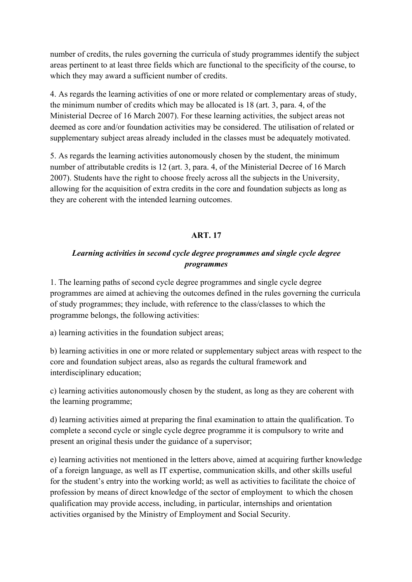number of credits, the rules governing the curricula of study programmes identify the subject areas pertinent to at least three fields which are functional to the specificity of the course, to which they may award a sufficient number of credits.

4. As regards the learning activities of one or more related or complementary areas of study, the minimum number of credits which may be allocated is 18 (art. 3, para. 4, of the Ministerial Decree of 16 March 2007). For these learning activities, the subject areas not deemed as core and/or foundation activities may be considered. The utilisation of related or supplementary subject areas already included in the classes must be adequately motivated.

5. As regards the learning activities autonomously chosen by the student, the minimum number of attributable credits is 12 (art. 3, para. 4, of the Ministerial Decree of 16 March 2007). Students have the right to choose freely across all the subjects in the University, allowing for the acquisition of extra credits in the core and foundation subjects as long as they are coherent with the intended learning outcomes.

## **ART. 17**

## *Learning activities in second cycle degree programmes and single cycle degree programmes*

1. The learning paths of second cycle degree programmes and single cycle degree programmes are aimed at achieving the outcomes defined in the rules governing the curricula of study programmes; they include, with reference to the class/classes to which the programme belongs, the following activities:

a) learning activities in the foundation subject areas;

b) learning activities in one or more related or supplementary subject areas with respect to the core and foundation subject areas, also as regards the cultural framework and interdisciplinary education;

c) learning activities autonomously chosen by the student, as long as they are coherent with the learning programme;

d) learning activities aimed at preparing the final examination to attain the qualification. To complete a second cycle or single cycle degree programme it is compulsory to write and present an original thesis under the guidance of a supervisor;

e) learning activities not mentioned in the letters above, aimed at acquiring further knowledge of a foreign language, as well as IT expertise, communication skills, and other skills useful for the student's entry into the working world; as well as activities to facilitate the choice of profession by means of direct knowledge of the sector of employment to which the chosen qualification may provide access, including, in particular, internships and orientation activities organised by the Ministry of Employment and Social Security.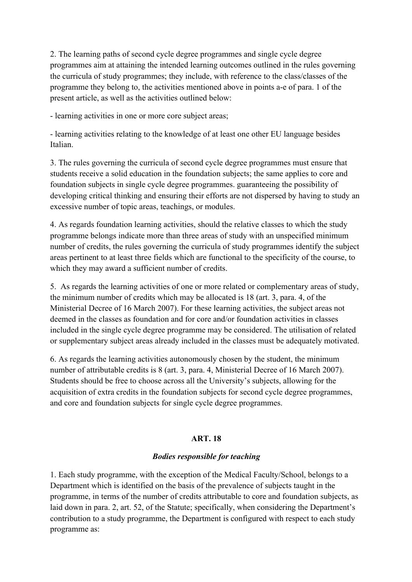2. The learning paths of second cycle degree programmes and single cycle degree programmes aim at attaining the intended learning outcomes outlined in the rules governing the curricula of study programmes; they include, with reference to the class/classes of the programme they belong to, the activities mentioned above in points a-e of para. 1 of the present article, as well as the activities outlined below:

- learning activities in one or more core subject areas;

- learning activities relating to the knowledge of at least one other EU language besides Italian.

3. The rules governing the curricula of second cycle degree programmes must ensure that students receive a solid education in the foundation subjects; the same applies to core and foundation subjects in single cycle degree programmes. guaranteeing the possibility of developing critical thinking and ensuring their efforts are not dispersed by having to study an excessive number of topic areas, teachings, or modules.

4. As regards foundation learning activities, should the relative classes to which the study programme belongs indicate more than three areas of study with an unspecified minimum number of credits, the rules governing the curricula of study programmes identify the subject areas pertinent to at least three fields which are functional to the specificity of the course, to which they may award a sufficient number of credits.

5. As regards the learning activities of one or more related or complementary areas of study, the minimum number of credits which may be allocated is 18 (art. 3, para. 4, of the Ministerial Decree of 16 March 2007). For these learning activities, the subject areas not deemed in the classes as foundation and for core and/or foundation activities in classes included in the single cycle degree programme may be considered. The utilisation of related or supplementary subject areas already included in the classes must be adequately motivated.

6. As regards the learning activities autonomously chosen by the student, the minimum number of attributable credits is 8 (art. 3, para. 4, Ministerial Decree of 16 March 2007). Students should be free to choose across all the University's subjects, allowing for the acquisition of extra credits in the foundation subjects for second cycle degree programmes, and core and foundation subjects for single cycle degree programmes.

# **ART. 18**

#### *Bodies responsible for teaching*

1. Each study programme, with the exception of the Medical Faculty/School, belongs to a Department which is identified on the basis of the prevalence of subjects taught in the programme, in terms of the number of credits attributable to core and foundation subjects, as laid down in para. 2, art. 52, of the Statute; specifically, when considering the Department's contribution to a study programme, the Department is configured with respect to each study programme as: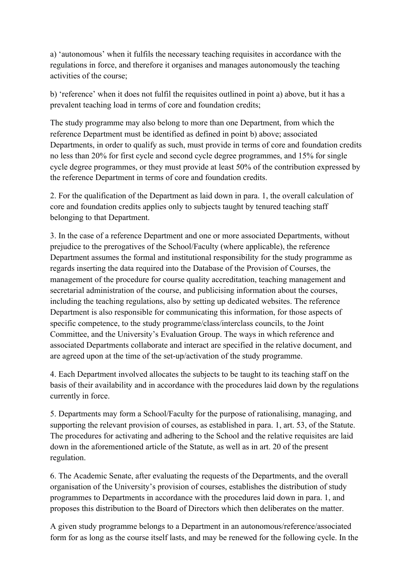a) 'autonomous' when it fulfils the necessary teaching requisites in accordance with the regulations in force, and therefore it organises and manages autonomously the teaching activities of the course;

b) 'reference' when it does not fulfil the requisites outlined in point a) above, but it has a prevalent teaching load in terms of core and foundation credits;

The study programme may also belong to more than one Department, from which the reference Department must be identified as defined in point b) above; associated Departments, in order to qualify as such, must provide in terms of core and foundation credits no less than 20% for first cycle and second cycle degree programmes, and 15% for single cycle degree programmes, or they must provide at least 50% of the contribution expressed by the reference Department in terms of core and foundation credits.

2. For the qualification of the Department as laid down in para. 1, the overall calculation of core and foundation credits applies only to subjects taught by tenured teaching staff belonging to that Department.

3. In the case of a reference Department and one or more associated Departments, without prejudice to the prerogatives of the School/Faculty (where applicable), the reference Department assumes the formal and institutional responsibility for the study programme as regards inserting the data required into the Database of the Provision of Courses, the management of the procedure for course quality accreditation, teaching management and secretarial administration of the course, and publicising information about the courses, including the teaching regulations, also by setting up dedicated websites. The reference Department is also responsible for communicating this information, for those aspects of specific competence, to the study programme/class/interclass councils, to the Joint Committee, and the University's Evaluation Group. The ways in which reference and associated Departments collaborate and interact are specified in the relative document, and are agreed upon at the time of the set-up/activation of the study programme.

4. Each Department involved allocates the subjects to be taught to its teaching staff on the basis of their availability and in accordance with the procedures laid down by the regulations currently in force.

5. Departments may form a School/Faculty for the purpose of rationalising, managing, and supporting the relevant provision of courses, as established in para. 1, art. 53, of the Statute. The procedures for activating and adhering to the School and the relative requisites are laid down in the aforementioned article of the Statute, as well as in art. 20 of the present regulation.

6. The Academic Senate, after evaluating the requests of the Departments, and the overall organisation of the University's provision of courses, establishes the distribution of study programmes to Departments in accordance with the procedures laid down in para. 1, and proposes this distribution to the Board of Directors which then deliberates on the matter.

A given study programme belongs to a Department in an autonomous/reference/associated form for as long as the course itself lasts, and may be renewed for the following cycle. In the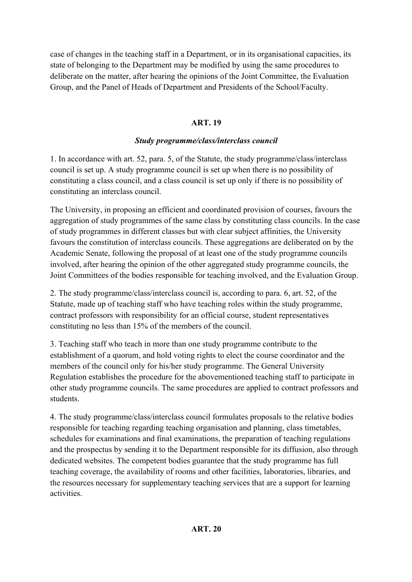case of changes in the teaching staff in a Department, or in its organisational capacities, its state of belonging to the Department may be modified by using the same procedures to deliberate on the matter, after hearing the opinions of the Joint Committee, the Evaluation Group, and the Panel of Heads of Department and Presidents of the School/Faculty.

# **ART. 19**

# *Study programme/class/interclass council*

1. In accordance with art. 52, para. 5, of the Statute, the study programme/class/interclass council is set up. A study programme council is set up when there is no possibility of constituting a class council, and a class council is set up only if there is no possibility of constituting an interclass council.

The University, in proposing an efficient and coordinated provision of courses, favours the aggregation of study programmes of the same class by constituting class councils. In the case of study programmes in different classes but with clear subject affinities, the University favours the constitution of interclass councils. These aggregations are deliberated on by the Academic Senate, following the proposal of at least one of the study programme councils involved, after hearing the opinion of the other aggregated study programme councils, the Joint Committees of the bodies responsible for teaching involved, and the Evaluation Group.

2. The study programme/class/interclass council is, according to para. 6, art. 52, of the Statute, made up of teaching staff who have teaching roles within the study programme, contract professors with responsibility for an official course, student representatives constituting no less than 15% of the members of the council.

3. Teaching staff who teach in more than one study programme contribute to the establishment of a quorum, and hold voting rights to elect the course coordinator and the members of the council only for his/her study programme. The General University Regulation establishes the procedure for the abovementioned teaching staff to participate in other study programme councils. The same procedures are applied to contract professors and students.

4. The study programme/class/interclass council formulates proposals to the relative bodies responsible for teaching regarding teaching organisation and planning, class timetables, schedules for examinations and final examinations, the preparation of teaching regulations and the prospectus by sending it to the Department responsible for its diffusion, also through dedicated websites. The competent bodies guarantee that the study programme has full teaching coverage, the availability of rooms and other facilities, laboratories, libraries, and the resources necessary for supplementary teaching services that are a support for learning activities.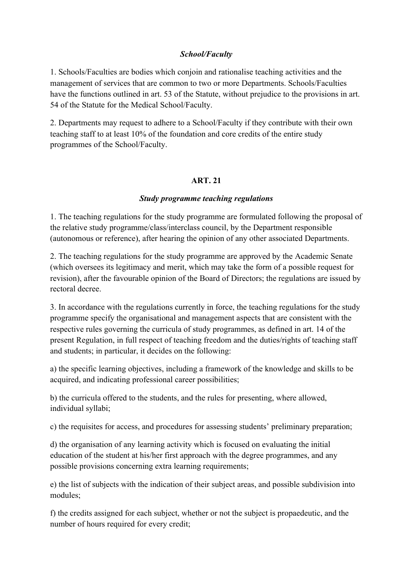## *School/Faculty*

1. Schools/Faculties are bodies which conjoin and rationalise teaching activities and the management of services that are common to two or more Departments. Schools/Faculties have the functions outlined in art. 53 of the Statute, without prejudice to the provisions in art. 54 of the Statute for the Medical School/Faculty.

2. Departments may request to adhere to a School/Faculty if they contribute with their own teaching staff to at least 10% of the foundation and core credits of the entire study programmes of the School/Faculty.

#### **ART. 21**

#### *Study programme teaching regulations*

1. The teaching regulations for the study programme are formulated following the proposal of the relative study programme/class/interclass council, by the Department responsible (autonomous or reference), after hearing the opinion of any other associated Departments.

2. The teaching regulations for the study programme are approved by the Academic Senate (which oversees its legitimacy and merit, which may take the form of a possible request for revision), after the favourable opinion of the Board of Directors; the regulations are issued by rectoral decree.

3. In accordance with the regulations currently in force, the teaching regulations for the study programme specify the organisational and management aspects that are consistent with the respective rules governing the curricula of study programmes, as defined in art. 14 of the present Regulation, in full respect of teaching freedom and the duties/rights of teaching staff and students; in particular, it decides on the following:

a) the specific learning objectives, including a framework of the knowledge and skills to be acquired, and indicating professional career possibilities;

b) the curricula offered to the students, and the rules for presenting, where allowed, individual syllabi;

c) the requisites for access, and procedures for assessing students' preliminary preparation;

d) the organisation of any learning activity which is focused on evaluating the initial education of the student at his/her first approach with the degree programmes, and any possible provisions concerning extra learning requirements;

e) the list of subjects with the indication of their subject areas, and possible subdivision into modules;

f) the credits assigned for each subject, whether or not the subject is propaedeutic, and the number of hours required for every credit;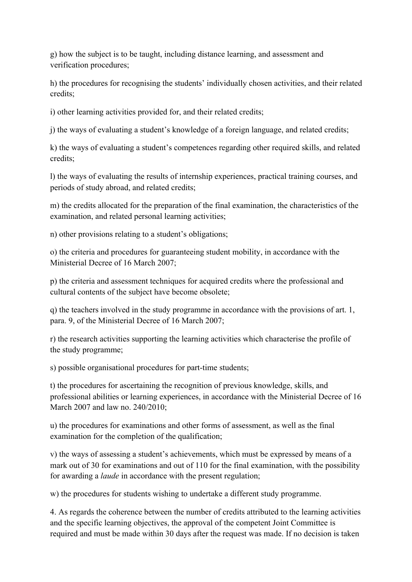g) how the subject is to be taught, including distance learning, and assessment and verification procedures;

h) the procedures for recognising the students' individually chosen activities, and their related credits;

i) other learning activities provided for, and their related credits;

j) the ways of evaluating a student's knowledge of a foreign language, and related credits;

k) the ways of evaluating a student's competences regarding other required skills, and related credits;

l) the ways of evaluating the results of internship experiences, practical training courses, and periods of study abroad, and related credits;

m) the credits allocated for the preparation of the final examination, the characteristics of the examination, and related personal learning activities;

n) other provisions relating to a student's obligations;

o) the criteria and procedures for guaranteeing student mobility, in accordance with the Ministerial Decree of 16 March 2007;

p) the criteria and assessment techniques for acquired credits where the professional and cultural contents of the subject have become obsolete;

q) the teachers involved in the study programme in accordance with the provisions of art. 1, para. 9, of the Ministerial Decree of 16 March 2007;

r) the research activities supporting the learning activities which characterise the profile of the study programme;

s) possible organisational procedures for part-time students;

t) the procedures for ascertaining the recognition of previous knowledge, skills, and professional abilities or learning experiences, in accordance with the Ministerial Decree of 16 March 2007 and law no. 240/2010;

u) the procedures for examinations and other forms of assessment, as well as the final examination for the completion of the qualification;

v) the ways of assessing a student's achievements, which must be expressed by means of a mark out of 30 for examinations and out of 110 for the final examination, with the possibility for awarding a *laude* in accordance with the present regulation;

w) the procedures for students wishing to undertake a different study programme.

4. As regards the coherence between the number of credits attributed to the learning activities and the specific learning objectives, the approval of the competent Joint Committee is required and must be made within 30 days after the request was made. If no decision is taken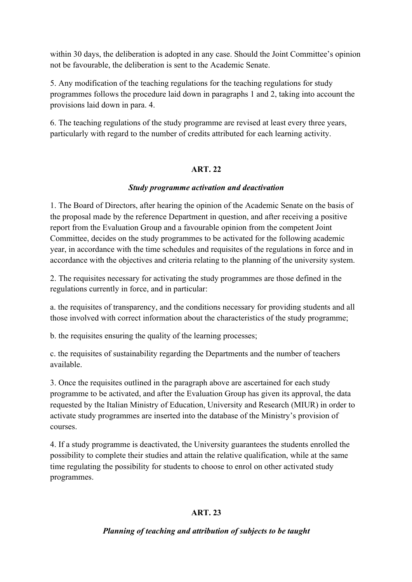within 30 days, the deliberation is adopted in any case. Should the Joint Committee's opinion not be favourable, the deliberation is sent to the Academic Senate.

5. Any modification of the teaching regulations for the teaching regulations for study programmes follows the procedure laid down in paragraphs 1 and 2, taking into account the provisions laid down in para. 4.

6. The teaching regulations of the study programme are revised at least every three years, particularly with regard to the number of credits attributed for each learning activity.

## **ART. 22**

## *Study programme activation and deactivation*

1. The Board of Directors, after hearing the opinion of the Academic Senate on the basis of the proposal made by the reference Department in question, and after receiving a positive report from the Evaluation Group and a favourable opinion from the competent Joint Committee, decides on the study programmes to be activated for the following academic year, in accordance with the time schedules and requisites of the regulations in force and in accordance with the objectives and criteria relating to the planning of the university system.

2. The requisites necessary for activating the study programmes are those defined in the regulations currently in force, and in particular:

a. the requisites of transparency, and the conditions necessary for providing students and all those involved with correct information about the characteristics of the study programme;

b. the requisites ensuring the quality of the learning processes;

c. the requisites of sustainability regarding the Departments and the number of teachers available.

3. Once the requisites outlined in the paragraph above are ascertained for each study programme to be activated, and after the Evaluation Group has given its approval, the data requested by the Italian Ministry of Education, University and Research (MIUR) in order to activate study programmes are inserted into the database of the Ministry's provision of courses.

4. If a study programme is deactivated, the University guarantees the students enrolled the possibility to complete their studies and attain the relative qualification, while at the same time regulating the possibility for students to choose to enrol on other activated study programmes.

# **ART. 23**

# *Planning of teaching and attribution of subjects to be taught*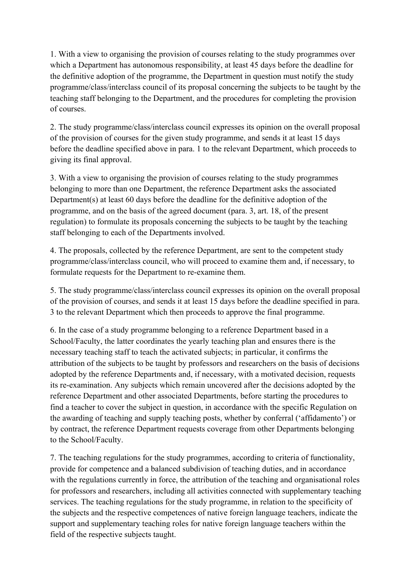1. With a view to organising the provision of courses relating to the study programmes over which a Department has autonomous responsibility, at least 45 days before the deadline for the definitive adoption of the programme, the Department in question must notify the study programme/class/interclass council of its proposal concerning the subjects to be taught by the teaching staff belonging to the Department, and the procedures for completing the provision of courses.

2. The study programme/class/interclass council expresses its opinion on the overall proposal of the provision of courses for the given study programme, and sends it at least 15 days before the deadline specified above in para. 1 to the relevant Department, which proceeds to giving its final approval.

3. With a view to organising the provision of courses relating to the study programmes belonging to more than one Department, the reference Department asks the associated Department(s) at least 60 days before the deadline for the definitive adoption of the programme, and on the basis of the agreed document (para. 3, art. 18, of the present regulation) to formulate its proposals concerning the subjects to be taught by the teaching staff belonging to each of the Departments involved.

4. The proposals, collected by the reference Department, are sent to the competent study programme/class/interclass council, who will proceed to examine them and, if necessary, to formulate requests for the Department to re-examine them.

5. The study programme/class/interclass council expresses its opinion on the overall proposal of the provision of courses, and sends it at least 15 days before the deadline specified in para. 3 to the relevant Department which then proceeds to approve the final programme.

6. In the case of a study programme belonging to a reference Department based in a School/Faculty, the latter coordinates the yearly teaching plan and ensures there is the necessary teaching staff to teach the activated subjects; in particular, it confirms the attribution of the subjects to be taught by professors and researchers on the basis of decisions adopted by the reference Departments and, if necessary, with a motivated decision, requests its re-examination. Any subjects which remain uncovered after the decisions adopted by the reference Department and other associated Departments, before starting the procedures to find a teacher to cover the subject in question, in accordance with the specific Regulation on the awarding of teaching and supply teaching posts, whether by conferral ('affidamento') or by contract, the reference Department requests coverage from other Departments belonging to the School/Faculty.

7. The teaching regulations for the study programmes, according to criteria of functionality, provide for competence and a balanced subdivision of teaching duties, and in accordance with the regulations currently in force, the attribution of the teaching and organisational roles for professors and researchers, including all activities connected with supplementary teaching services. The teaching regulations for the study programme, in relation to the specificity of the subjects and the respective competences of native foreign language teachers, indicate the support and supplementary teaching roles for native foreign language teachers within the field of the respective subjects taught.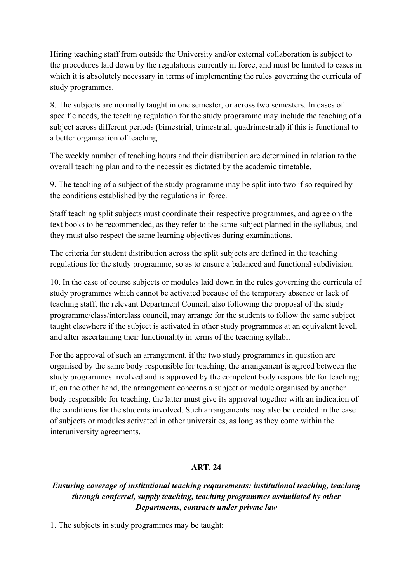Hiring teaching staff from outside the University and/or external collaboration is subject to the procedures laid down by the regulations currently in force, and must be limited to cases in which it is absolutely necessary in terms of implementing the rules governing the curricula of study programmes.

8. The subjects are normally taught in one semester, or across two semesters. In cases of specific needs, the teaching regulation for the study programme may include the teaching of a subject across different periods (bimestrial, trimestrial, quadrimestrial) if this is functional to a better organisation of teaching.

The weekly number of teaching hours and their distribution are determined in relation to the overall teaching plan and to the necessities dictated by the academic timetable.

9. The teaching of a subject of the study programme may be split into two if so required by the conditions established by the regulations in force.

Staff teaching split subjects must coordinate their respective programmes, and agree on the text books to be recommended, as they refer to the same subject planned in the syllabus, and they must also respect the same learning objectives during examinations.

The criteria for student distribution across the split subjects are defined in the teaching regulations for the study programme, so as to ensure a balanced and functional subdivision.

10. In the case of course subjects or modules laid down in the rules governing the curricula of study programmes which cannot be activated because of the temporary absence or lack of teaching staff, the relevant Department Council, also following the proposal of the study programme/class/interclass council, may arrange for the students to follow the same subject taught elsewhere if the subject is activated in other study programmes at an equivalent level, and after ascertaining their functionality in terms of the teaching syllabi.

For the approval of such an arrangement, if the two study programmes in question are organised by the same body responsible for teaching, the arrangement is agreed between the study programmes involved and is approved by the competent body responsible for teaching; if, on the other hand, the arrangement concerns a subject or module organised by another body responsible for teaching, the latter must give its approval together with an indication of the conditions for the students involved. Such arrangements may also be decided in the case of subjects or modules activated in other universities, as long as they come within the interuniversity agreements.

# **ART. 24**

# *Ensuring coverage of institutional teaching requirements: institutional teaching, teaching through conferral, supply teaching, teaching programmes assimilated by other Departments, contracts under private law*

1. The subjects in study programmes may be taught: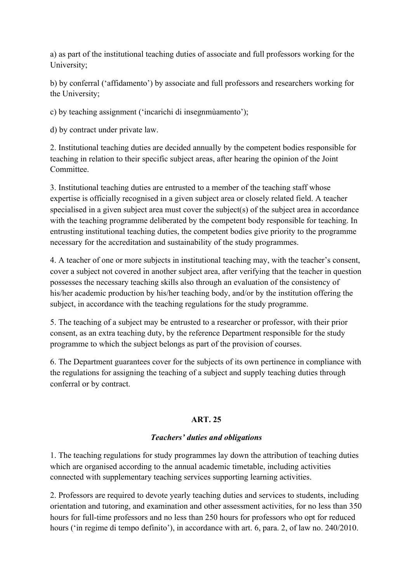a) as part of the institutional teaching duties of associate and full professors working for the University;

b) by conferral ('affidamento') by associate and full professors and researchers working for the University;

c) by teaching assignment ('incarichi di insegnmùamento');

d) by contract under private law.

2. Institutional teaching duties are decided annually by the competent bodies responsible for teaching in relation to their specific subject areas, after hearing the opinion of the Joint Committee.

3. Institutional teaching duties are entrusted to a member of the teaching staff whose expertise is officially recognised in a given subject area or closely related field. A teacher specialised in a given subject area must cover the subject(s) of the subject area in accordance with the teaching programme deliberated by the competent body responsible for teaching. In entrusting institutional teaching duties, the competent bodies give priority to the programme necessary for the accreditation and sustainability of the study programmes.

4. A teacher of one or more subjects in institutional teaching may, with the teacher's consent, cover a subject not covered in another subject area, after verifying that the teacher in question possesses the necessary teaching skills also through an evaluation of the consistency of his/her academic production by his/her teaching body, and/or by the institution offering the subject, in accordance with the teaching regulations for the study programme.

5. The teaching of a subject may be entrusted to a researcher or professor, with their prior consent, as an extra teaching duty, by the reference Department responsible for the study programme to which the subject belongs as part of the provision of courses.

6. The Department guarantees cover for the subjects of its own pertinence in compliance with the regulations for assigning the teaching of a subject and supply teaching duties through conferral or by contract.

# **ART. 25**

# *Teachers' duties and obligations*

1. The teaching regulations for study programmes lay down the attribution of teaching duties which are organised according to the annual academic timetable, including activities connected with supplementary teaching services supporting learning activities.

2. Professors are required to devote yearly teaching duties and services to students, including orientation and tutoring, and examination and other assessment activities, for no less than 350 hours for full-time professors and no less than 250 hours for professors who opt for reduced hours ('in regime di tempo definito'), in accordance with art. 6, para. 2, of law no. 240/2010.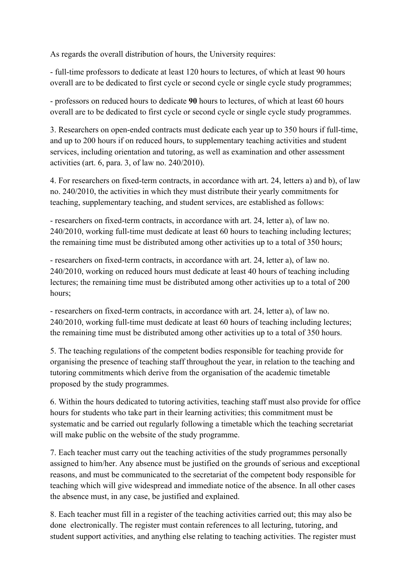As regards the overall distribution of hours, the University requires:

- full-time professors to dedicate at least 120 hours to lectures, of which at least 90 hours overall are to be dedicated to first cycle or second cycle or single cycle study programmes;

- professors on reduced hours to dedicate **90** hours to lectures, of which at least 60 hours overall are to be dedicated to first cycle or second cycle or single cycle study programmes.

3. Researchers on open-ended contracts must dedicate each year up to 350 hours if full-time, and up to 200 hours if on reduced hours, to supplementary teaching activities and student services, including orientation and tutoring, as well as examination and other assessment activities (art. 6, para. 3, of law no. 240/2010).

4. For researchers on fixed-term contracts, in accordance with art. 24, letters a) and b), of law no. 240/2010, the activities in which they must distribute their yearly commitments for teaching, supplementary teaching, and student services, are established as follows:

- researchers on fixed-term contracts, in accordance with art. 24, letter a), of law no. 240/2010, working full-time must dedicate at least 60 hours to teaching including lectures; the remaining time must be distributed among other activities up to a total of 350 hours;

- researchers on fixed-term contracts, in accordance with art. 24, letter a), of law no. 240/2010, working on reduced hours must dedicate at least 40 hours of teaching including lectures; the remaining time must be distributed among other activities up to a total of 200 hours;

- researchers on fixed-term contracts, in accordance with art. 24, letter a), of law no. 240/2010, working full-time must dedicate at least 60 hours of teaching including lectures; the remaining time must be distributed among other activities up to a total of 350 hours.

5. The teaching regulations of the competent bodies responsible for teaching provide for organising the presence of teaching staff throughout the year, in relation to the teaching and tutoring commitments which derive from the organisation of the academic timetable proposed by the study programmes.

6. Within the hours dedicated to tutoring activities, teaching staff must also provide for office hours for students who take part in their learning activities; this commitment must be systematic and be carried out regularly following a timetable which the teaching secretariat will make public on the website of the study programme.

7. Each teacher must carry out the teaching activities of the study programmes personally assigned to him/her. Any absence must be justified on the grounds of serious and exceptional reasons, and must be communicated to the secretariat of the competent body responsible for teaching which will give widespread and immediate notice of the absence. In all other cases the absence must, in any case, be justified and explained.

8. Each teacher must fill in a register of the teaching activities carried out; this may also be done electronically. The register must contain references to all lecturing, tutoring, and student support activities, and anything else relating to teaching activities. The register must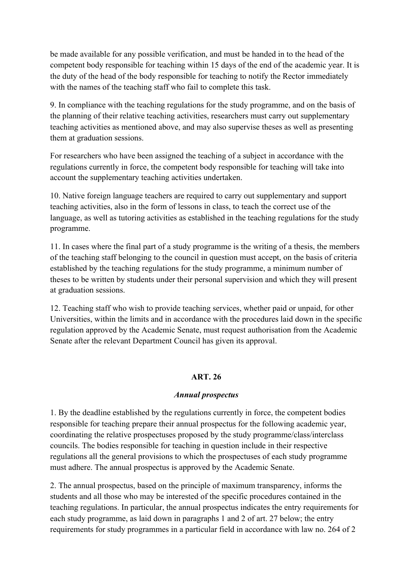be made available for any possible verification, and must be handed in to the head of the competent body responsible for teaching within 15 days of the end of the academic year. It is the duty of the head of the body responsible for teaching to notify the Rector immediately with the names of the teaching staff who fail to complete this task.

9. In compliance with the teaching regulations for the study programme, and on the basis of the planning of their relative teaching activities, researchers must carry out supplementary teaching activities as mentioned above, and may also supervise theses as well as presenting them at graduation sessions.

For researchers who have been assigned the teaching of a subject in accordance with the regulations currently in force, the competent body responsible for teaching will take into account the supplementary teaching activities undertaken.

10. Native foreign language teachers are required to carry out supplementary and support teaching activities, also in the form of lessons in class, to teach the correct use of the language, as well as tutoring activities as established in the teaching regulations for the study programme.

11. In cases where the final part of a study programme is the writing of a thesis, the members of the teaching staff belonging to the council in question must accept, on the basis of criteria established by the teaching regulations for the study programme, a minimum number of theses to be written by students under their personal supervision and which they will present at graduation sessions.

12. Teaching staff who wish to provide teaching services, whether paid or unpaid, for other Universities, within the limits and in accordance with the procedures laid down in the specific regulation approved by the Academic Senate, must request authorisation from the Academic Senate after the relevant Department Council has given its approval.

#### **ART. 26**

#### *Annual prospectus*

1. By the deadline established by the regulations currently in force, the competent bodies responsible for teaching prepare their annual prospectus for the following academic year, coordinating the relative prospectuses proposed by the study programme/class/interclass councils. The bodies responsible for teaching in question include in their respective regulations all the general provisions to which the prospectuses of each study programme must adhere. The annual prospectus is approved by the Academic Senate.

2. The annual prospectus, based on the principle of maximum transparency, informs the students and all those who may be interested of the specific procedures contained in the teaching regulations. In particular, the annual prospectus indicates the entry requirements for each study programme, as laid down in paragraphs 1 and 2 of art. 27 below; the entry requirements for study programmes in a particular field in accordance with law no. 264 of 2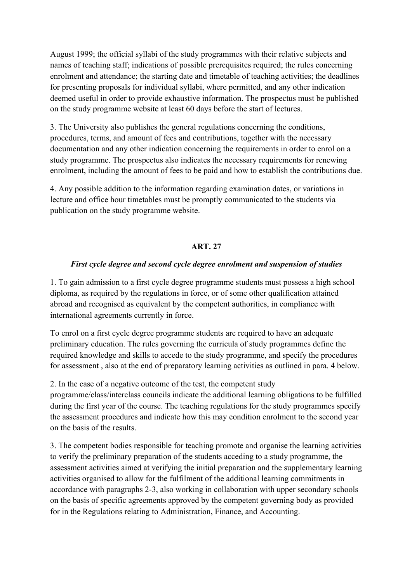August 1999; the official syllabi of the study programmes with their relative subjects and names of teaching staff; indications of possible prerequisites required; the rules concerning enrolment and attendance; the starting date and timetable of teaching activities; the deadlines for presenting proposals for individual syllabi, where permitted, and any other indication deemed useful in order to provide exhaustive information. The prospectus must be published on the study programme website at least 60 days before the start of lectures.

3. The University also publishes the general regulations concerning the conditions, procedures, terms, and amount of fees and contributions, together with the necessary documentation and any other indication concerning the requirements in order to enrol on a study programme. The prospectus also indicates the necessary requirements for renewing enrolment, including the amount of fees to be paid and how to establish the contributions due.

4. Any possible addition to the information regarding examination dates, or variations in lecture and office hour timetables must be promptly communicated to the students via publication on the study programme website.

#### **ART. 27**

#### *First cycle degree and second cycle degree enrolment and suspension of studies*

1. To gain admission to a first cycle degree programme students must possess a high school diploma, as required by the regulations in force, or of some other qualification attained abroad and recognised as equivalent by the competent authorities, in compliance with international agreements currently in force.

To enrol on a first cycle degree programme students are required to have an adequate preliminary education. The rules governing the curricula of study programmes define the required knowledge and skills to accede to the study programme, and specify the procedures for assessment , also at the end of preparatory learning activities as outlined in para. 4 below.

2. In the case of a negative outcome of the test, the competent study

programme/class/interclass councils indicate the additional learning obligations to be fulfilled during the first year of the course. The teaching regulations for the study programmes specify the assessment procedures and indicate how this may condition enrolment to the second year on the basis of the results.

3. The competent bodies responsible for teaching promote and organise the learning activities to verify the preliminary preparation of the students acceding to a study programme, the assessment activities aimed at verifying the initial preparation and the supplementary learning activities organised to allow for the fulfilment of the additional learning commitments in accordance with paragraphs 2-3, also working in collaboration with upper secondary schools on the basis of specific agreements approved by the competent governing body as provided for in the Regulations relating to Administration, Finance, and Accounting.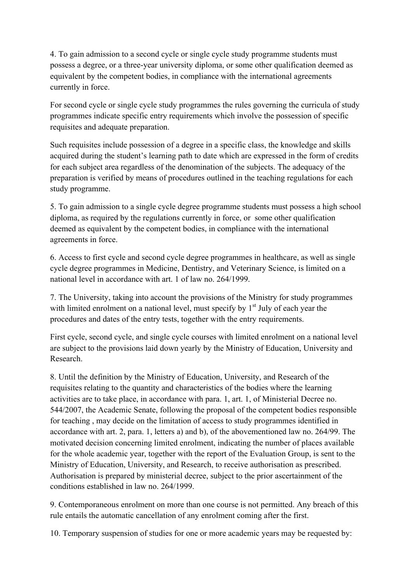4. To gain admission to a second cycle or single cycle study programme students must possess a degree, or a three-year university diploma, or some other qualification deemed as equivalent by the competent bodies, in compliance with the international agreements currently in force.

For second cycle or single cycle study programmes the rules governing the curricula of study programmes indicate specific entry requirements which involve the possession of specific requisites and adequate preparation.

Such requisites include possession of a degree in a specific class, the knowledge and skills acquired during the student's learning path to date which are expressed in the form of credits for each subject area regardless of the denomination of the subjects. The adequacy of the preparation is verified by means of procedures outlined in the teaching regulations for each study programme.

5. To gain admission to a single cycle degree programme students must possess a high school diploma, as required by the regulations currently in force, or some other qualification deemed as equivalent by the competent bodies, in compliance with the international agreements in force.

6. Access to first cycle and second cycle degree programmes in healthcare, as well as single cycle degree programmes in Medicine, Dentistry, and Veterinary Science, is limited on a national level in accordance with art. 1 of law no. 264/1999.

7. The University, taking into account the provisions of the Ministry for study programmes with limited enrolment on a national level, must specify by  $1<sup>st</sup>$  July of each year the procedures and dates of the entry tests, together with the entry requirements.

First cycle, second cycle, and single cycle courses with limited enrolment on a national level are subject to the provisions laid down yearly by the Ministry of Education, University and Research.

8. Until the definition by the Ministry of Education, University, and Research of the requisites relating to the quantity and characteristics of the bodies where the learning activities are to take place, in accordance with para. 1, art. 1, of Ministerial Decree no. 544/2007, the Academic Senate, following the proposal of the competent bodies responsible for teaching , may decide on the limitation of access to study programmes identified in accordance with art. 2, para. 1, letters a) and b), of the abovementioned law no. 264/99. The motivated decision concerning limited enrolment, indicating the number of places available for the whole academic year, together with the report of the Evaluation Group, is sent to the Ministry of Education, University, and Research, to receive authorisation as prescribed. Authorisation is prepared by ministerial decree, subject to the prior ascertainment of the conditions established in law no. 264/1999.

9. Contemporaneous enrolment on more than one course is not permitted. Any breach of this rule entails the automatic cancellation of any enrolment coming after the first.

10. Temporary suspension of studies for one or more academic years may be requested by: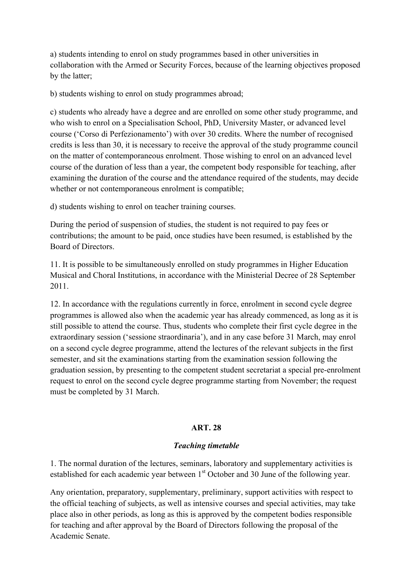a) students intending to enrol on study programmes based in other universities in collaboration with the Armed or Security Forces, because of the learning objectives proposed by the latter;

b) students wishing to enrol on study programmes abroad;

c) students who already have a degree and are enrolled on some other study programme, and who wish to enrol on a Specialisation School, PhD, University Master, or advanced level course ('Corso di Perfezionamento') with over 30 credits. Where the number of recognised credits is less than 30, it is necessary to receive the approval of the study programme council on the matter of contemporaneous enrolment. Those wishing to enrol on an advanced level course of the duration of less than a year, the competent body responsible for teaching, after examining the duration of the course and the attendance required of the students, may decide whether or not contemporaneous enrolment is compatible;

d) students wishing to enrol on teacher training courses.

During the period of suspension of studies, the student is not required to pay fees or contributions; the amount to be paid, once studies have been resumed, is established by the Board of Directors.

11. It is possible to be simultaneously enrolled on study programmes in Higher Education Musical and Choral Institutions, in accordance with the Ministerial Decree of 28 September 2011.

12. In accordance with the regulations currently in force, enrolment in second cycle degree programmes is allowed also when the academic year has already commenced, as long as it is still possible to attend the course. Thus, students who complete their first cycle degree in the extraordinary session ('sessione straordinaria'), and in any case before 31 March, may enrol on a second cycle degree programme, attend the lectures of the relevant subjects in the first semester, and sit the examinations starting from the examination session following the graduation session, by presenting to the competent student secretariat a special pre-enrolment request to enrol on the second cycle degree programme starting from November; the request must be completed by 31 March.

# **ART. 28**

#### *Teaching timetable*

1. The normal duration of the lectures, seminars, laboratory and supplementary activities is established for each academic year between 1<sup>st</sup> October and 30 June of the following year.

Any orientation, preparatory, supplementary, preliminary, support activities with respect to the official teaching of subjects, as well as intensive courses and special activities, may take place also in other periods, as long as this is approved by the competent bodies responsible for teaching and after approval by the Board of Directors following the proposal of the Academic Senate.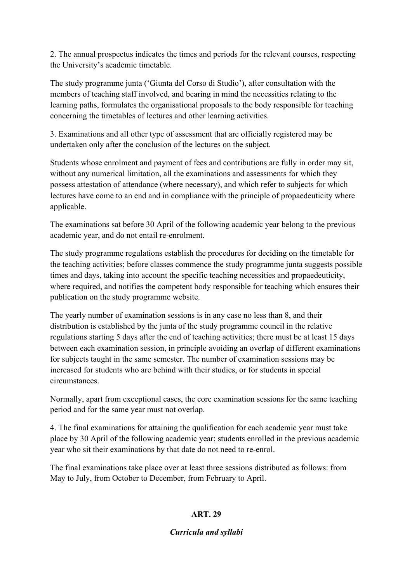2. The annual prospectus indicates the times and periods for the relevant courses, respecting the University's academic timetable.

The study programme junta ('Giunta del Corso di Studio'), after consultation with the members of teaching staff involved, and bearing in mind the necessities relating to the learning paths, formulates the organisational proposals to the body responsible for teaching concerning the timetables of lectures and other learning activities.

3. Examinations and all other type of assessment that are officially registered may be undertaken only after the conclusion of the lectures on the subject.

Students whose enrolment and payment of fees and contributions are fully in order may sit, without any numerical limitation, all the examinations and assessments for which they possess attestation of attendance (where necessary), and which refer to subjects for which lectures have come to an end and in compliance with the principle of propaedeuticity where applicable.

The examinations sat before 30 April of the following academic year belong to the previous academic year, and do not entail re-enrolment.

The study programme regulations establish the procedures for deciding on the timetable for the teaching activities; before classes commence the study programme junta suggests possible times and days, taking into account the specific teaching necessities and propaedeuticity, where required, and notifies the competent body responsible for teaching which ensures their publication on the study programme website.

The yearly number of examination sessions is in any case no less than 8, and their distribution is established by the junta of the study programme council in the relative regulations starting 5 days after the end of teaching activities; there must be at least 15 days between each examination session, in principle avoiding an overlap of different examinations for subjects taught in the same semester. The number of examination sessions may be increased for students who are behind with their studies, or for students in special circumstances.

Normally, apart from exceptional cases, the core examination sessions for the same teaching period and for the same year must not overlap.

4. The final examinations for attaining the qualification for each academic year must take place by 30 April of the following academic year; students enrolled in the previous academic year who sit their examinations by that date do not need to re-enrol.

The final examinations take place over at least three sessions distributed as follows: from May to July, from October to December, from February to April.

# **ART. 29**

# *Curricula and syllabi*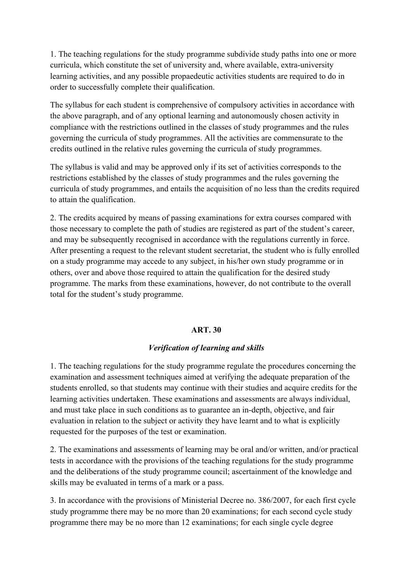1. The teaching regulations for the study programme subdivide study paths into one or more curricula, which constitute the set of university and, where available, extra-university learning activities, and any possible propaedeutic activities students are required to do in order to successfully complete their qualification.

The syllabus for each student is comprehensive of compulsory activities in accordance with the above paragraph, and of any optional learning and autonomously chosen activity in compliance with the restrictions outlined in the classes of study programmes and the rules governing the curricula of study programmes. All the activities are commensurate to the credits outlined in the relative rules governing the curricula of study programmes.

The syllabus is valid and may be approved only if its set of activities corresponds to the restrictions established by the classes of study programmes and the rules governing the curricula of study programmes, and entails the acquisition of no less than the credits required to attain the qualification.

2. The credits acquired by means of passing examinations for extra courses compared with those necessary to complete the path of studies are registered as part of the student's career, and may be subsequently recognised in accordance with the regulations currently in force. After presenting a request to the relevant student secretariat, the student who is fully enrolled on a study programme may accede to any subject, in his/her own study programme or in others, over and above those required to attain the qualification for the desired study programme. The marks from these examinations, however, do not contribute to the overall total for the student's study programme.

#### **ART. 30**

#### *Verification of learning and skills*

1. The teaching regulations for the study programme regulate the procedures concerning the examination and assessment techniques aimed at verifying the adequate preparation of the students enrolled, so that students may continue with their studies and acquire credits for the learning activities undertaken. These examinations and assessments are always individual, and must take place in such conditions as to guarantee an in-depth, objective, and fair evaluation in relation to the subject or activity they have learnt and to what is explicitly requested for the purposes of the test or examination.

2. The examinations and assessments of learning may be oral and/or written, and/or practical tests in accordance with the provisions of the teaching regulations for the study programme and the deliberations of the study programme council; ascertainment of the knowledge and skills may be evaluated in terms of a mark or a pass.

3. In accordance with the provisions of Ministerial Decree no. 386/2007, for each first cycle study programme there may be no more than 20 examinations; for each second cycle study programme there may be no more than 12 examinations; for each single cycle degree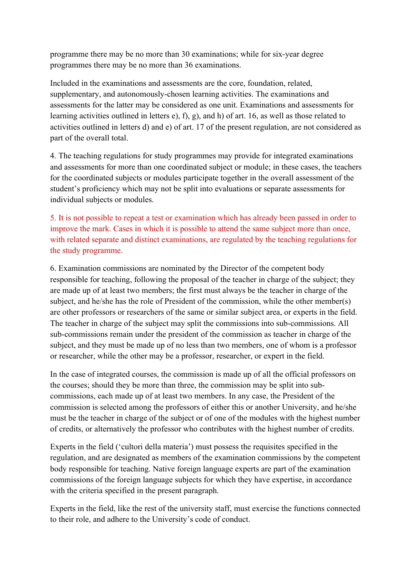programme there may be no more than 30 examinations; while for six-year degree programmes there may be no more than 36 examinations.

Included in the examinations and assessments are the core, foundation, related, supplementary, and autonomously-chosen learning activities. The examinations and assessments for the latter may be considered as one unit. Examinations and assessments for learning activities outlined in letters e), f), g), and h) of art. 16, as well as those related to activities outlined in letters d) and e) of art. 17 of the present regulation, are not considered as part of the overall total.

4. The teaching regulations for study programmes may provide for integrated examinations and assessments for more than one coordinated subject or module; in these cases, the teachers for the coordinated subjects or modules participate together in the overall assessment of the student's proficiency which may not be split into evaluations or separate assessments for individual subjects or modules.

5. It is not possible to repeat a test or examination which has already been passed in order to improve the mark. Cases in which it is possible to attend the same subject more than once, with related separate and distinct examinations, are regulated by the teaching regulations for the study programme.

6. Examination commissions are nominated by the Director of the competent body responsible for teaching, following the proposal of the teacher in charge of the subject; they are made up of at least two members; the first must always be the teacher in charge of the subject, and he/she has the role of President of the commission, while the other member(s) are other professors or researchers of the same or similar subject area, or experts in the field. The teacher in charge of the subject may split the commissions into sub-commissions. All sub-commissions remain under the president of the commission as teacher in charge of the subject, and they must be made up of no less than two members, one of whom is a professor or researcher, while the other may be a professor, researcher, or expert in the field.

In the case of integrated courses, the commission is made up of all the official professors on the courses; should they be more than three, the commission may be split into subcommissions, each made up of at least two members. In any case, the President of the commission is selected among the professors of either this or another University, and he/she must be the teacher in charge of the subject or of one of the modules with the highest number of credits, or alternatively the professor who contributes with the highest number of credits.

Experts in the field ('cultori della materia') must possess the requisites specified in the regulation, and are designated as members of the examination commissions by the competent body responsible for teaching. Native foreign language experts are part of the examination commissions of the foreign language subjects for which they have expertise, in accordance with the criteria specified in the present paragraph.

Experts in the field, like the rest of the university staff, must exercise the functions connected to their role, and adhere to the University's code of conduct.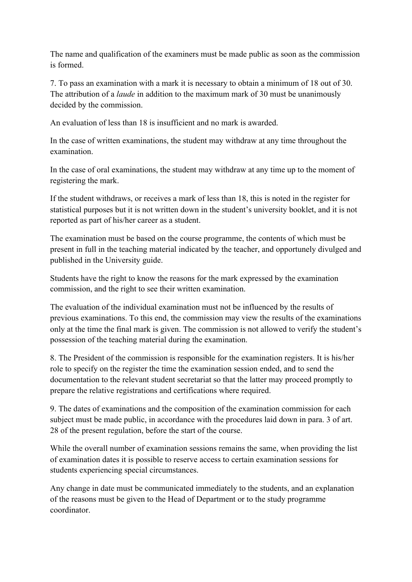The name and qualification of the examiners must be made public as soon as the commission is formed.

7. To pass an examination with a mark it is necessary to obtain a minimum of 18 out of 30. The attribution of a *laude* in addition to the maximum mark of 30 must be unanimously decided by the commission.

An evaluation of less than 18 is insufficient and no mark is awarded.

In the case of written examinations, the student may withdraw at any time throughout the examination.

In the case of oral examinations, the student may withdraw at any time up to the moment of registering the mark.

If the student withdraws, or receives a mark of less than 18, this is noted in the register for statistical purposes but it is not written down in the student's university booklet, and it is not reported as part of his/her career as a student.

The examination must be based on the course programme, the contents of which must be present in full in the teaching material indicated by the teacher, and opportunely divulged and published in the University guide.

Students have the right to know the reasons for the mark expressed by the examination commission, and the right to see their written examination.

The evaluation of the individual examination must not be influenced by the results of previous examinations. To this end, the commission may view the results of the examinations only at the time the final mark is given. The commission is not allowed to verify the student's possession of the teaching material during the examination.

8. The President of the commission is responsible for the examination registers. It is his/her role to specify on the register the time the examination session ended, and to send the documentation to the relevant student secretariat so that the latter may proceed promptly to prepare the relative registrations and certifications where required.

9. The dates of examinations and the composition of the examination commission for each subject must be made public, in accordance with the procedures laid down in para. 3 of art. 28 of the present regulation, before the start of the course.

While the overall number of examination sessions remains the same, when providing the list of examination dates it is possible to reserve access to certain examination sessions for students experiencing special circumstances.

Any change in date must be communicated immediately to the students, and an explanation of the reasons must be given to the Head of Department or to the study programme coordinator.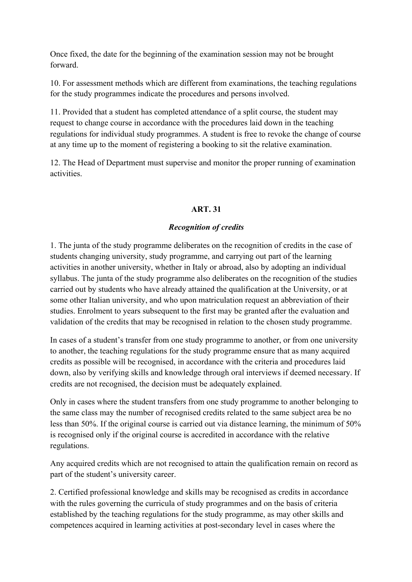Once fixed, the date for the beginning of the examination session may not be brought forward.

10. For assessment methods which are different from examinations, the teaching regulations for the study programmes indicate the procedures and persons involved.

11. Provided that a student has completed attendance of a split course, the student may request to change course in accordance with the procedures laid down in the teaching regulations for individual study programmes. A student is free to revoke the change of course at any time up to the moment of registering a booking to sit the relative examination.

12. The Head of Department must supervise and monitor the proper running of examination activities.

# **ART. 31**

# *Recognition of credits*

1. The junta of the study programme deliberates on the recognition of credits in the case of students changing university, study programme, and carrying out part of the learning activities in another university, whether in Italy or abroad, also by adopting an individual syllabus. The junta of the study programme also deliberates on the recognition of the studies carried out by students who have already attained the qualification at the University, or at some other Italian university, and who upon matriculation request an abbreviation of their studies. Enrolment to years subsequent to the first may be granted after the evaluation and validation of the credits that may be recognised in relation to the chosen study programme.

In cases of a student's transfer from one study programme to another, or from one university to another, the teaching regulations for the study programme ensure that as many acquired credits as possible will be recognised, in accordance with the criteria and procedures laid down, also by verifying skills and knowledge through oral interviews if deemed necessary. If credits are not recognised, the decision must be adequately explained.

Only in cases where the student transfers from one study programme to another belonging to the same class may the number of recognised credits related to the same subject area be no less than 50%. If the original course is carried out via distance learning, the minimum of 50% is recognised only if the original course is accredited in accordance with the relative regulations.

Any acquired credits which are not recognised to attain the qualification remain on record as part of the student's university career.

2. Certified professional knowledge and skills may be recognised as credits in accordance with the rules governing the curricula of study programmes and on the basis of criteria established by the teaching regulations for the study programme, as may other skills and competences acquired in learning activities at post-secondary level in cases where the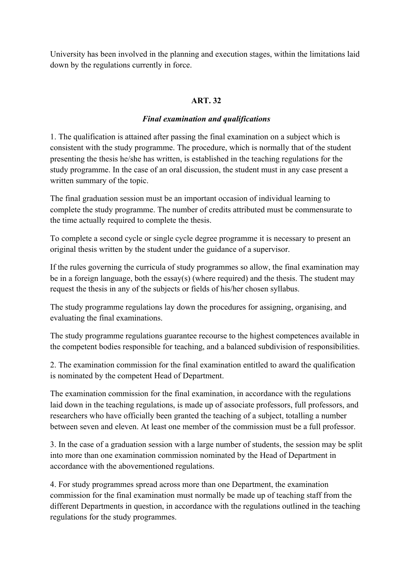University has been involved in the planning and execution stages, within the limitations laid down by the regulations currently in force.

# **ART. 32**

#### *Final examination and qualifications*

1. The qualification is attained after passing the final examination on a subject which is consistent with the study programme. The procedure, which is normally that of the student presenting the thesis he/she has written, is established in the teaching regulations for the study programme. In the case of an oral discussion, the student must in any case present a written summary of the topic.

The final graduation session must be an important occasion of individual learning to complete the study programme. The number of credits attributed must be commensurate to the time actually required to complete the thesis.

To complete a second cycle or single cycle degree programme it is necessary to present an original thesis written by the student under the guidance of a supervisor.

If the rules governing the curricula of study programmes so allow, the final examination may be in a foreign language, both the essay(s) (where required) and the thesis. The student may request the thesis in any of the subjects or fields of his/her chosen syllabus.

The study programme regulations lay down the procedures for assigning, organising, and evaluating the final examinations.

The study programme regulations guarantee recourse to the highest competences available in the competent bodies responsible for teaching, and a balanced subdivision of responsibilities.

2. The examination commission for the final examination entitled to award the qualification is nominated by the competent Head of Department.

The examination commission for the final examination, in accordance with the regulations laid down in the teaching regulations, is made up of associate professors, full professors, and researchers who have officially been granted the teaching of a subject, totalling a number between seven and eleven. At least one member of the commission must be a full professor.

3. In the case of a graduation session with a large number of students, the session may be split into more than one examination commission nominated by the Head of Department in accordance with the abovementioned regulations.

4. For study programmes spread across more than one Department, the examination commission for the final examination must normally be made up of teaching staff from the different Departments in question, in accordance with the regulations outlined in the teaching regulations for the study programmes.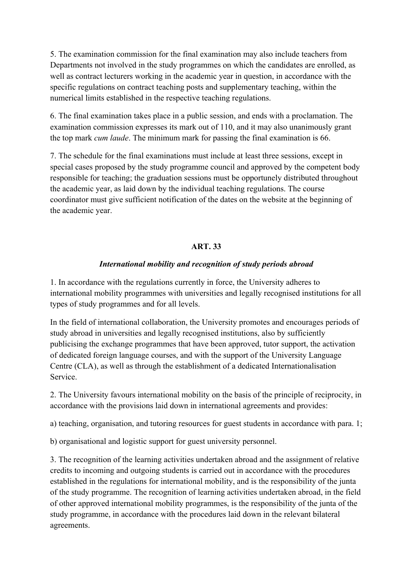5. The examination commission for the final examination may also include teachers from Departments not involved in the study programmes on which the candidates are enrolled, as well as contract lecturers working in the academic year in question, in accordance with the specific regulations on contract teaching posts and supplementary teaching, within the numerical limits established in the respective teaching regulations.

6. The final examination takes place in a public session, and ends with a proclamation. The examination commission expresses its mark out of 110, and it may also unanimously grant the top mark *cum laude*. The minimum mark for passing the final examination is 66.

7. The schedule for the final examinations must include at least three sessions, except in special cases proposed by the study programme council and approved by the competent body responsible for teaching; the graduation sessions must be opportunely distributed throughout the academic year, as laid down by the individual teaching regulations. The course coordinator must give sufficient notification of the dates on the website at the beginning of the academic year.

## **ART. 33**

#### *International mobility and recognition of study periods abroad*

1. In accordance with the regulations currently in force, the University adheres to international mobility programmes with universities and legally recognised institutions for all types of study programmes and for all levels.

In the field of international collaboration, the University promotes and encourages periods of study abroad in universities and legally recognised institutions, also by sufficiently publicising the exchange programmes that have been approved, tutor support, the activation of dedicated foreign language courses, and with the support of the University Language Centre (CLA), as well as through the establishment of a dedicated Internationalisation Service.

2. The University favours international mobility on the basis of the principle of reciprocity, in accordance with the provisions laid down in international agreements and provides:

a) teaching, organisation, and tutoring resources for guest students in accordance with para. 1;

b) organisational and logistic support for guest university personnel.

3. The recognition of the learning activities undertaken abroad and the assignment of relative credits to incoming and outgoing students is carried out in accordance with the procedures established in the regulations for international mobility, and is the responsibility of the junta of the study programme. The recognition of learning activities undertaken abroad, in the field of other approved international mobility programmes, is the responsibility of the junta of the study programme, in accordance with the procedures laid down in the relevant bilateral agreements.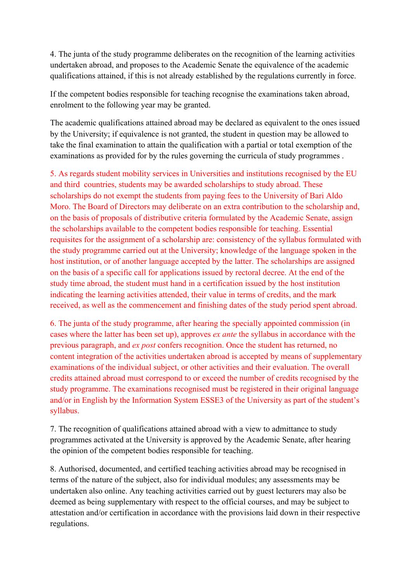4. The junta of the study programme deliberates on the recognition of the learning activities undertaken abroad, and proposes to the Academic Senate the equivalence of the academic qualifications attained, if this is not already established by the regulations currently in force.

If the competent bodies responsible for teaching recognise the examinations taken abroad, enrolment to the following year may be granted.

The academic qualifications attained abroad may be declared as equivalent to the ones issued by the University; if equivalence is not granted, the student in question may be allowed to take the final examination to attain the qualification with a partial or total exemption of the examinations as provided for by the rules governing the curricula of study programmes .

5. As regards student mobility services in Universities and institutions recognised by the EU and third countries, students may be awarded scholarships to study abroad. These scholarships do not exempt the students from paying fees to the University of Bari Aldo Moro. The Board of Directors may deliberate on an extra contribution to the scholarship and, on the basis of proposals of distributive criteria formulated by the Academic Senate, assign the scholarships available to the competent bodies responsible for teaching. Essential requisites for the assignment of a scholarship are: consistency of the syllabus formulated with the study programme carried out at the University; knowledge of the language spoken in the host institution, or of another language accepted by the latter. The scholarships are assigned on the basis of a specific call for applications issued by rectoral decree. At the end of the study time abroad, the student must hand in a certification issued by the host institution indicating the learning activities attended, their value in terms of credits, and the mark received, as well as the commencement and finishing dates of the study period spent abroad.

6. The junta of the study programme, after hearing the specially appointed commission (in cases where the latter has been set up), approves *ex ante* the syllabus in accordance with the previous paragraph, and *ex post* confers recognition. Once the student has returned, no content integration of the activities undertaken abroad is accepted by means of supplementary examinations of the individual subject, or other activities and their evaluation. The overall credits attained abroad must correspond to or exceed the number of credits recognised by the study programme. The examinations recognised must be registered in their original language and/or in English by the Information System ESSE3 of the University as part of the student's syllabus.

7. The recognition of qualifications attained abroad with a view to admittance to study programmes activated at the University is approved by the Academic Senate, after hearing the opinion of the competent bodies responsible for teaching.

8. Authorised, documented, and certified teaching activities abroad may be recognised in terms of the nature of the subject, also for individual modules; any assessments may be undertaken also online. Any teaching activities carried out by guest lecturers may also be deemed as being supplementary with respect to the official courses, and may be subject to attestation and/or certification in accordance with the provisions laid down in their respective regulations.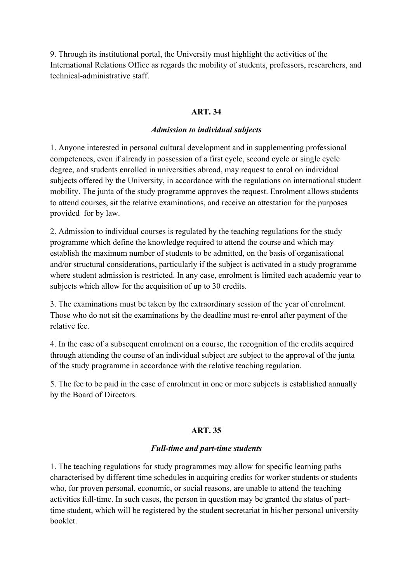9. Through its institutional portal, the University must highlight the activities of the International Relations Office as regards the mobility of students, professors, researchers, and technical-administrative staff.

#### **ART. 34**

#### *Admission to individual subjects*

1. Anyone interested in personal cultural development and in supplementing professional competences, even if already in possession of a first cycle, second cycle or single cycle degree, and students enrolled in universities abroad, may request to enrol on individual subjects offered by the University, in accordance with the regulations on international student mobility. The junta of the study programme approves the request. Enrolment allows students to attend courses, sit the relative examinations, and receive an attestation for the purposes provided for by law.

2. Admission to individual courses is regulated by the teaching regulations for the study programme which define the knowledge required to attend the course and which may establish the maximum number of students to be admitted, on the basis of organisational and/or structural considerations, particularly if the subject is activated in a study programme where student admission is restricted. In any case, enrolment is limited each academic year to subjects which allow for the acquisition of up to 30 credits.

3. The examinations must be taken by the extraordinary session of the year of enrolment. Those who do not sit the examinations by the deadline must re-enrol after payment of the relative fee.

4. In the case of a subsequent enrolment on a course, the recognition of the credits acquired through attending the course of an individual subject are subject to the approval of the junta of the study programme in accordance with the relative teaching regulation.

5. The fee to be paid in the case of enrolment in one or more subjects is established annually by the Board of Directors.

#### **ART. 35**

#### *Full-time and part-time students*

1. The teaching regulations for study programmes may allow for specific learning paths characterised by different time schedules in acquiring credits for worker students or students who, for proven personal, economic, or social reasons, are unable to attend the teaching activities full-time. In such cases, the person in question may be granted the status of parttime student, which will be registered by the student secretariat in his/her personal university booklet.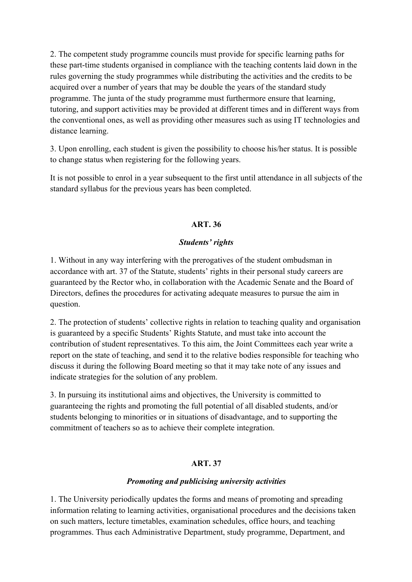2. The competent study programme councils must provide for specific learning paths for these part-time students organised in compliance with the teaching contents laid down in the rules governing the study programmes while distributing the activities and the credits to be acquired over a number of years that may be double the years of the standard study programme. The junta of the study programme must furthermore ensure that learning, tutoring, and support activities may be provided at different times and in different ways from the conventional ones, as well as providing other measures such as using IT technologies and distance learning.

3. Upon enrolling, each student is given the possibility to choose his/her status. It is possible to change status when registering for the following years.

It is not possible to enrol in a year subsequent to the first until attendance in all subjects of the standard syllabus for the previous years has been completed.

# **ART. 36**

## *Students' rights*

1. Without in any way interfering with the prerogatives of the student ombudsman in accordance with art. 37 of the Statute, students' rights in their personal study careers are guaranteed by the Rector who, in collaboration with the Academic Senate and the Board of Directors, defines the procedures for activating adequate measures to pursue the aim in question.

2. The protection of students' collective rights in relation to teaching quality and organisation is guaranteed by a specific Students' Rights Statute, and must take into account the contribution of student representatives. To this aim, the Joint Committees each year write a report on the state of teaching, and send it to the relative bodies responsible for teaching who discuss it during the following Board meeting so that it may take note of any issues and indicate strategies for the solution of any problem.

3. In pursuing its institutional aims and objectives, the University is committed to guaranteeing the rights and promoting the full potential of all disabled students, and/or students belonging to minorities or in situations of disadvantage, and to supporting the commitment of teachers so as to achieve their complete integration.

# **ART. 37**

#### *Promoting and publicising university activities*

1. The University periodically updates the forms and means of promoting and spreading information relating to learning activities, organisational procedures and the decisions taken on such matters, lecture timetables, examination schedules, office hours, and teaching programmes. Thus each Administrative Department, study programme, Department, and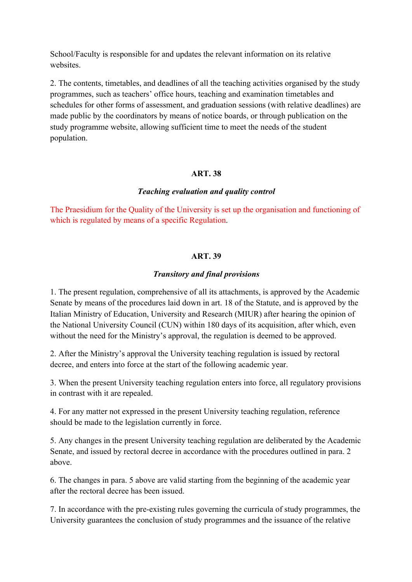School/Faculty is responsible for and updates the relevant information on its relative websites.

2. The contents, timetables, and deadlines of all the teaching activities organised by the study programmes, such as teachers' office hours, teaching and examination timetables and schedules for other forms of assessment, and graduation sessions (with relative deadlines) are made public by the coordinators by means of notice boards, or through publication on the study programme website, allowing sufficient time to meet the needs of the student population.

## **ART. 38**

#### *Teaching evaluation and quality control*

The Praesidium for the Quality of the University is set up the organisation and functioning of which is regulated by means of a specific Regulation.

# **ART. 39**

## *Transitory and final provisions*

1. The present regulation, comprehensive of all its attachments, is approved by the Academic Senate by means of the procedures laid down in art. 18 of the Statute, and is approved by the Italian Ministry of Education, University and Research (MIUR) after hearing the opinion of the National University Council (CUN) within 180 days of its acquisition, after which, even without the need for the Ministry's approval, the regulation is deemed to be approved.

2. After the Ministry's approval the University teaching regulation is issued by rectoral decree, and enters into force at the start of the following academic year.

3. When the present University teaching regulation enters into force, all regulatory provisions in contrast with it are repealed.

4. For any matter not expressed in the present University teaching regulation, reference should be made to the legislation currently in force.

5. Any changes in the present University teaching regulation are deliberated by the Academic Senate, and issued by rectoral decree in accordance with the procedures outlined in para. 2 above.

6. The changes in para. 5 above are valid starting from the beginning of the academic year after the rectoral decree has been issued.

7. In accordance with the pre-existing rules governing the curricula of study programmes, the University guarantees the conclusion of study programmes and the issuance of the relative